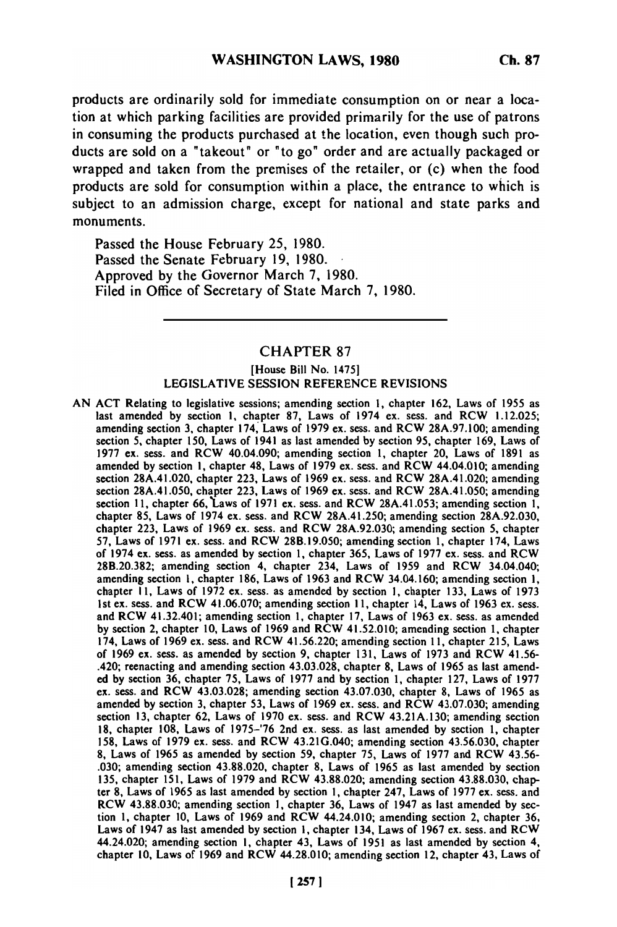products are ordinarily sold for immediate consumption on or near a location at which parking facilities are provided primarily for the use of patrons in consuming the products purchased at the location, even though such products are sold on a "takeout" or "to go" order and are actually packaged or wrapped and taken from the premises of the retailer, or (c) when the food products are sold for consumption within a place, the entrance to which is subject to an admission charge, except for national and state parks and monuments.

Passed the House February 25, 1980. Passed the Senate February 19, 1980. Approved by the Governor March 7, 1980. Filed in Office of Secretary of State March 7, 1980.

## CHAPTER 87

## [House Bill No. 14751 LEGISLATIVE SESSION REFERENCE REVISIONS

AN ACT Relating to legislative sessions; amending section 1, chapter 162, Laws of 1955 as last amended by section **1,** chapter 87, Laws of 1974 ex. sess. and RCW 1.12.025; amending section 3, chapter 174, Laws of 1979 ex. sess. and RCW 28A.97.100; amending section **5,** chapter 150, Laws of 1941 as last amended by section 95, chapter 169, Laws of 1977 ex. sess. and RCW 40.04.090; amending section 1, chapter 20, Laws of 1891 as amended by section 1, chapter 48, Laws of 1979 ex. sess. and RCW 44.04.010; amending section 28A.41.020, chapter 223, Laws of 1969 ex. sess. and RCW 28A.41.020; amending section 28A.41.050, chapter 223, Laws of 1969 ex. sess. and RCW 28A.41.050; amending section 11, chapter 66, Laws of 1971 ex. sess. and RCW 28A.41.053; amending section 1, chapter **85,** Laws of 1974 ex. sess. and RCW 28A.41.250; amending section 28A.92.030, chapter 223, Laws of 1969 ex. sess. and RCW 28A.92.030; amending section 5, chapter 57, Laws of 1971 ex. sess. and RCW 28B.19.050; amending section 1, chapter 174, Laws of 1974 ex. sess. as amended by section 1, chapter 365, Laws of 1977 ex. sess. and RCW 28B.20.382; amending section 4, chapter 234, Laws of 1959 and RCW 34.04.040; amending section **1,** chapter 186, Laws of 1963 and RCW 34.04.160; amending section 1, chapter **I1,** Laws of 1972 ex. sess. as amended by section 1, chapter 133, Laws of 1973 1st ex. sess. and RCW 41.06.070; amending section 11, chapter 14, Laws of 1963 ex. sess. and RCW 41.32.401; amending section 1, chapter 17, Laws of 1963 ex. sess. as amended by section 2, chapter 10, Laws of 1969 and RCW 41.52.010; amending section 1, chapter 174, Laws of 1969 ex. sess. and RCW 41.56.220; amending section 11, chapter 215, Laws of 1969 ex. sess. as amended by section 9, chapter 131, Laws of 1973 and RCW 41.56- .420; reenacting and amending section 43.03.028, chapter **8,** Laws of 1965 as last amended by section 36, chapter 75, Laws of 1977 and by section 1, chapter 127, Laws of 1977 ex. sess. and RCW 43.03.028; amending section 43.07.030, chapter 8, Laws of 1965 as amended by section 3, chapter 53, Laws of 1969 ex. sess. and RCW 43.07.030; amending section **13,** chapter 62, Laws of 1970 ex. sess. and RCW 43.21A.130; amending section **18,** chapter 108, Laws of 1975-'76 2nd ex. sess. as last amended by section 1, chapter 158, Laws of 1979 ex. sess. and RCW 43.21G.040; amending section 43.56.030, chapter **8,** Laws of 1965 as amended by section 59, chapter 75, Laws of 1977 and RCW 43.56- .030; amending section 43.88.020, chapter 8, Laws of 1965 as last amended by section 135, chapter 151, Laws of 1979 and RCW 43.88.020; amending section 43.88.030, chapter **8,** Laws of 1965 as last amended by section **1,** chapter 247, Laws of 1977 ex. sess. and RCC 6, Laws 01 1705 as fast afficiency by section 1, chapter 247, Laws 01 1777 ex. Sess. and<br>DCW 43.88.030; amending section 1, chapter 26, Laws of 1047 as last amended by sec- $\mu$ C w 45.00.050; amending section 1, chapter 50, Laws of 1947 as fast amended by sec-LION 1, Chapter 10, Laws of 1969 and RCW 44.24.010; amending section 2, chapter 36.<br>Laws of 1947 as last amended by section 1, chapter 134, Laws of 1967 ex. sess. and ROW Laws of 1947 as last amended by section 1, chapter 134, Laws of 1967 ex. sess. and RCW 44.24.020; amending section 1, chapter 43, Laws of 1951 as last amended by section 4, chapter 10, Laws of 1969 and RCW 44.28.010; amending section 12, chapter 43, Laws of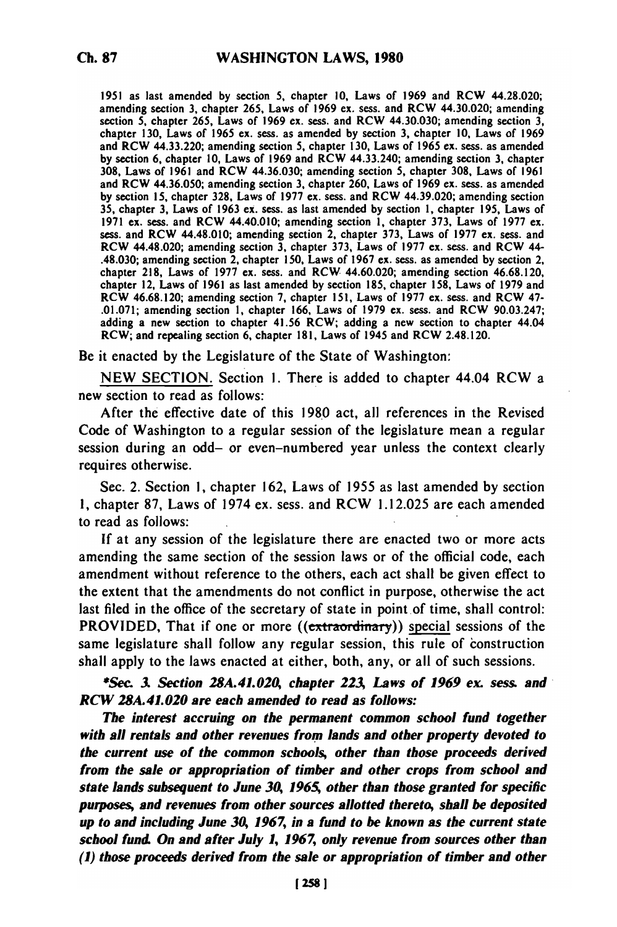**1951** as last amended **by** section **5,** chapter **10,** Laws of **1969** and RCW 44.28.020; amending section **3,** chapter **265,** Laws of **1969** ex. sess. and RCW 44.30.020; amending section **5,** chapter **265,** Laws of **1969** ex. seas. and RCW 44.30.030; amending section **3,** chapter **130,** Laws of **1965** ex. sess. as amended **by** section **3,** chapter **10,** Laws of **1969** and RCW 44.33.220; amending section **5,** chapter **130,** Laws of **1965** ex. sess. as amended **by** section **6,** chapter **10,** Laws of **1969** and RCW 44.33.240; amending section **3,** chapter **308,** Laws of **1961** and RCW 44.36.030; amending section **5,** chapter **308,** Laws of **1961** and RCW 44.36.050; amending section **3,** chapter **260,** Laws of **1969** ex. sess. as amended **by** section **15,** chapter **328,** Laws of **1977** ex. sess. and RCW 44.39.020; amending section **35,** chapter **3,** Laws of **1963 ex.** sess. as last amended **by** section **1,** chapter **195,** Laws of **1971** ex. sess. and RCW 44.40.010; amending section **1,** chapter **373,** Laws of **1977** ex. seas. and RCW 44.48.010; amending section 2, chapter **373,** Laws of **1977** ex. sess. and RCW 44.48.020; amending section **3,** chapter **373,** Laws of **1977** ex. **sess.** and RCW 44- .48.030; amending section 2, chapter **150,** Laws of **1967** ex. seas. as amended **by** section 2, chapter **218,** Laws of **1977** ex. **sess.** and RCW 44.60.020; amending section **46.68.120,** chapter 218, Laws of 1977 ex. sess. and RCW 44.60.020; amending section 46.68.120, chapter 12, Laws of 1961 as last amended by section 185, chapter 158, Laws of 1979 and RCW **46.68.120;** amending section **7,** chapter **151,** Laws of **1977** ex. sess. and RCW 47- **.01.071;** amending section **1,** chapter **166,** Laws of **1979 ex. seas.** and RCW **90.03.247;** adding a new section to chapter 41.56 RCW; adding a new section to chapter 44.04 RCW; and repealing section **6,** chapter **181,** Laws of 1945 and RCW 2.48.120.

Be it enacted **by** the Legislature of the State of Washington:

**NEW SECTION.** Section **1.** There is added to chapter 44.04 RCW a new section to read as follows:

After the effective date of this **1980** act, all references in the Revised Code of Washington to a regular session of the legislature mean a regular session during an odd- or even-numbered year unless the context clearly requires otherwise.

Sec. 2. Section **1,** chapter **162,** Laws of 1955 as last amended **by** section **1,** chapter **87,** Laws of 1974 ex. sess. and RCW **1.12.025** are each amended to read as follows:

**If** at any session of the legislature there are enacted two or more acts amending the same section of the session laws or of the official code, each amendment without reference to the others, each act shall be given effect to the extent that the amendments do not conflict in purpose, otherwise the act last filed in the office of the secretary of state in point of time, shall control: PROVIDED, That if one or more ((extraordinary)) **special** sessions of the same legislature shall follow any regular session, this rule of construction shall apply to the laws enacted at either, both, any, or all of such sessions.

*\*Sec 3. Section 28A.41.020, chapter 223, Laws of 1969 ex. sess. and RCW 28A.41.020 are each amended to read as follows:*

*The interest accruing on the permanent common school fund together with all rentals and other revenues from lands and other property devoted to the current use of the common schools, other than those proceeds derived from the sale or appropriation of timber and other crops from school and state lands subsequent to June 30, 1965 other than those granted for specific purposes, and revenues from other sources allotted thereto, shall be deposited up to and including June 30, 1967, in a fund to be known as the current state school fund On and after July 1, 1967, only revenue from sources other than (1) those proceeds derived from the sale or appropriation of timber and other*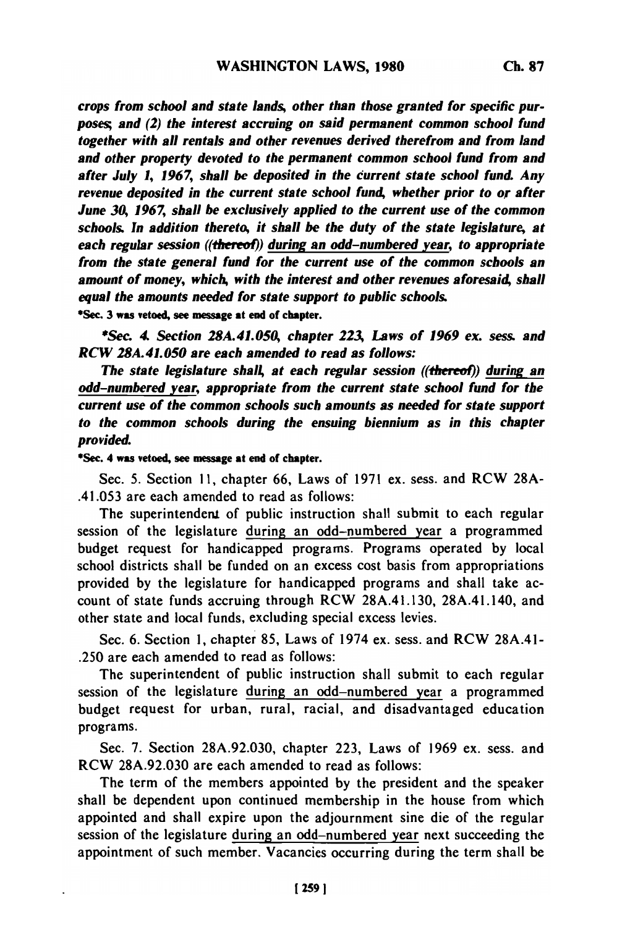*crops from school and state lands, other than those granted for specific purposes and (2) the interest accruing on said permanent common school fund together with all rentals and other revenues derived therefrom and from land and other property devoted to the permanent common school fund from and after July 1, 1967, shall be deposited in the current state school fund Any revenue deposited in the current state school fund, whether prior to or after June 30, 1967, shall be exclusively applied to the current use of the common schools. In addition thereto, it shall be the duty of the state legislature, at each regular session ((thereol)) during an odd-numbered year, to appropriate from the state general fund for the current use of the common schools an amount of money, which, with the interest and other revenues aforesaid, shall equal the amounts needed for state support to public schools.*

\*Sec. 3 was vetoed, see message at end of chapter.

*\*Sec. 4 Section 28A.41.050, chapter 223, Laws of 1969 ex. sess. and RCW 28A.41.050 are each amended to read as follows:*

*The state legislature shall, at each regular session ((thereof)) during an odd-numbered year, appropriate from the current state school fund for the current use of the common schools such amounts as needed for state support to the common schools during the ensuing biennium as in this chapter provided.*

\*Sec. 4 was vetoed, see **message** at end of chapter.

Sec. 5. Section **11,** chapter **66,** Laws of 1971 ex. sess. and RCW **28A-** .41.053 are each amended to read as follows:

The superintendent of public instruction shall submit to each regular session of the legislature during an odd-numbered year a programmed budget request for handicapped programs. Programs operated **by** local school districts shall be funded on an excess cost basis from appropriations provided **by** the legislature for handicapped programs and shall take account of state funds accruing through RCW **28A.41.130,** 28A.41.140, and other state and local funds, excluding special excess levies.

Sec. **6.** Section **1,** chapter **85,** Laws of 1974 ex. sess. and RCW 28A.41- **.250** are each amended to read as follows:

The superintendent of public instruction shall submit to each regular session of the legislature during an odd-numbered year a programmed budget request for urban, rural, racial, and disadvantaged education programs.

Sec. **7.** Section **28A.92.030,** chapter **223,** Laws of **1969** ex. sess. and RCW **28A.92.030** are each amended to read as follows:

The term of the members appointed **by** the president and the speaker shall be dependent upon continued membership in the house from which appointed and shall expire upon the adjournment sine die of the regular session of the legislature during an odd-numbered year next succeeding the appointment of such member. Vacancies occurring during the term shall be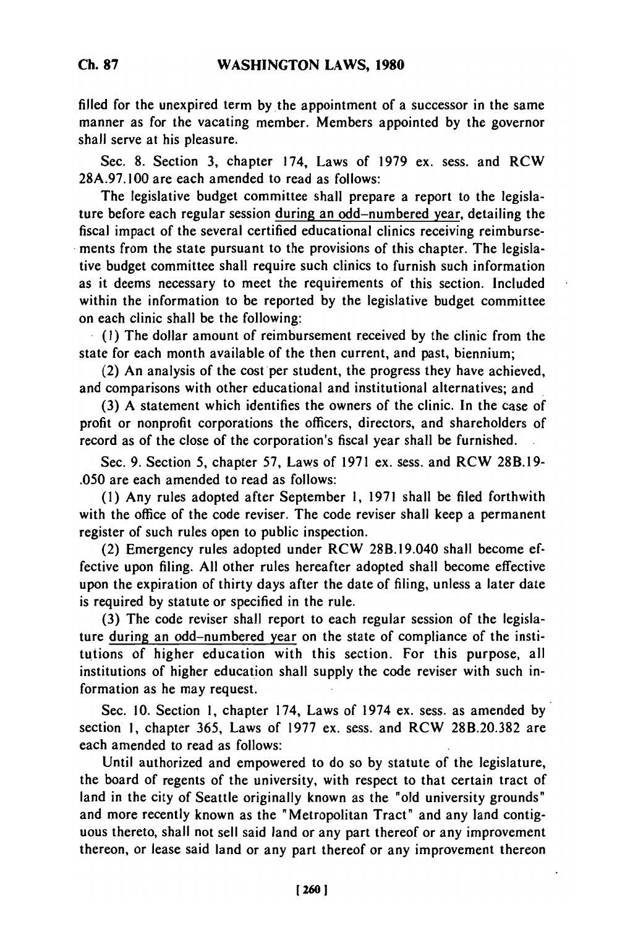filled for the unexpired term by the appointment of a successor in the same manner as for the vacating member. Members appointed by the governor shall serve at his pleasure.

Sec. 8. Section 3, chapter 174, Laws of 1979 ex. sess. and RCW 28A.97.100 are each amended to read as follows:

The legislative budget committee shall prepare a report to the legislature before each regular session during an odd-numbered year, detailing the fiscal impact of the several certified educational clinics receiving reimbursements from the state pursuant to the provisions of this chapter. The legislative budget committee shall require such clinics to furnish such information as it deems necessary to meet the requirements of this section. Included within the information to be reported by the legislative budget committee on each clinic shall be the following:

**(1)** The dollar amount of reimbursement received by the clinic from the state for each month available of the then current, and past, biennium;

(2) An analysis of the cost per student, the progress they have achieved, and comparisons with other educational and institutional alternatives; and

(3) A statement which identifies the owners of the clinic. In the case of profit or nonprofit corporations the officers, directors, and shareholders of record as of the close of the corporation's fiscal year shall be furnished.

Sec. 9. Section 5, chapter 57, Laws of 1971 ex. sess. and RCW 28B.19- .050 are each amended to read as follows:

(1) Any rules adopted after September 1, 1971 shall be filed forthwith with the office of the code reviser. The code reviser shall keep a permanent register of such rules open to public inspection.

(2) Emergency rules adopted under RCW 28B.19.040 shall become effective upon filing. All other rules hereafter adopted shall become effective upon the expiration of thirty days after the date of filing, unless a later date is required by statute or specified in the rule.

(3) The code reviser shall report to each regular session of the legislature during an odd-numbered year on the state of compliance of the institutions of higher education with this section. For this purpose, all institutions of higher education shall supply the code reviser with such information as he may request.

Sec. 10. Section 1, chapter 174, Laws of 1974 ex. sess. as amended by section 1, chapter 365, Laws of 1977 ex. sess. and RCW 28B.20.382 are each amended to read as follows:

Until authorized and empowered to do so by statute of the legislature, the board of regents of the university, with respect to that certain tract of land in the city of Seattle originally known as the "old university grounds" and more recently known as the "Metropolitan Tract" and any land contiguous thereto, shall not sell said land or any part thereof or any improvement thereon, or lease said land or any part thereof or any improvement thereon

**Ch. 87**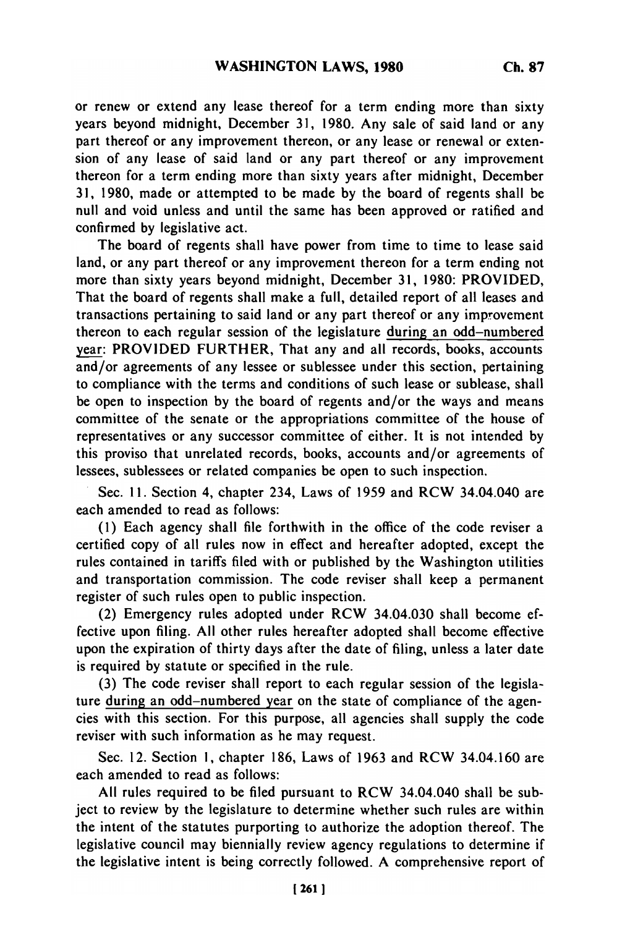or renew or extend any lease thereof for a term ending more than sixty years beyond midnight, December 31, 1980. Any sale of said land or any part thereof or any improvement thereon, or any lease or renewal or extension of any lease of said land or any part thereof or any improvement thereon for a term ending more than sixty years after midnight, December 31, 1980, made or attempted to be made by the board of regents shall be null and void unless and until the same has been approved or ratified and confirmed by legislative act.

The board of regents shall have power from time to time to lease said land, or any part thereof or any improvement thereon for a term ending not more than sixty years beyond midnight, December 31, 1980: PROVIDED, That the board of regents shall make a full, detailed report of all leases and transactions pertaining to said land or any part thereof or any improvement thereon to each regular session of the legislature during an odd-numbered year: PROVIDED FURTHER, That any and all records, books, accounts and/or agreements of any lessee or sublessee under this section, pertaining to compliance with the terms and conditions of such lease or sublease, shall be open to inspection by the board of regents and/or the ways and means committee of the senate or the appropriations committee of the house of representatives or any successor committee of either. It is not intended by this proviso that unrelated records, books, accounts and/or agreements of lessees, sublessees or related companies be open to such inspection.

Sec. **11.** Section 4, chapter 234, Laws of 1959 and RCW 34.04.040 are each amended to read as follows:

(1) Each agency shall file forthwith in the office of the code reviser a certified copy of all rules now in effect and hereafter adopted, except the rules contained in tariffs filed with or published by the Washington utilities and transportation commission. The code reviser shall keep a permanent register of such rules open to public inspection.

(2) Emergency rules adopted under RCW 34.04.030 shall become effective upon filing. All other rules hereafter adopted shall become effective upon the expiration of thirty days after the date of filing, unless a later date is required by statute or specified in the rule.

(3) The code reviser shall report to each regular session of the legislature during an odd-numbered year on the state of compliance of the agencies with this section. For this purpose, all agencies shall supply the code reviser with such information as he may request.

Sec. 12. Section **1,** chapter 186, Laws of 1963 and RCW 34.04.160 are each amended to read as follows:

All rules required to be filed pursuant to RCW 34.04.040 shall be subject to review by the legislature to determine whether such rules are within the intent of the statutes purporting to authorize the adoption thereof. The legislative council may biennially review agency regulations to determine if the legislative intent is being correctly followed. A comprehensive report of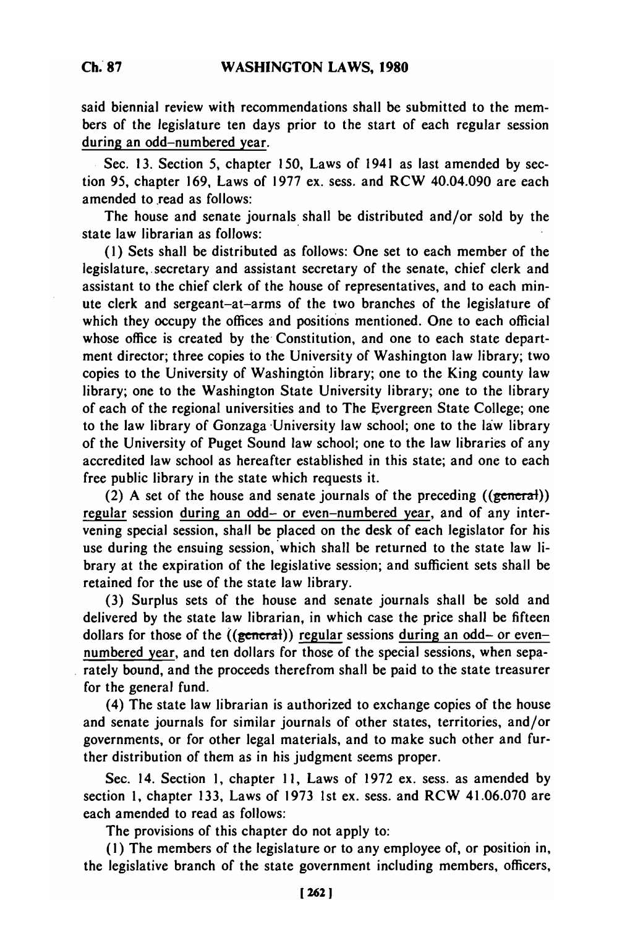said biennial review with recommendations shall be submitted to the members of the legislature ten days prior to the start of each regular session during an odd-numbered year.

Sec. **13.** Section **5,** chapter 150, Laws of 1941 as last amended **by** section 95, chapter **169,** Laws of 1977 ex. sess. and RCW 40.04.090 are each amended to read as follows:

The house and senate journals shall be distributed and/or sold by the state law librarian as follows:

**(1)** Sets shall be distributed as follows: One set to each member of the legislature, secretary and assistant secretary of the senate, chief clerk and assistant to the chief clerk of the house of representatives, and to each minute clerk and sergeant-at-arms of the two branches of the legislature of which they occupy the offices and positions mentioned. One to each official whose office is created **by** the Constitution, and one to each state department director; three copies to the University of Washington law library; two copies to the University of Washington library; one to the King county law library; one to the Washington State University library; one to the library of each of the regional universities and to The Evergreen State College; one to the law library of Gonzaga University law school; one to the law library of the University of Puget Sound law school; one to the law libraries of any accredited law school as hereafter established in this state; and one to each free public library in the state which requests it.

(2) A set of the house and senate journals of the preceding  $((\text{general}))$ regular session during an odd- or even-numbered year, and of any intervening special session, shall be placed on the desk of each legislator for his use during the ensuing session, which shall be returned to the state law library at the expiration of the legislative session; and sufficient sets shall be retained for the use of the state law library.

(3) Surplus sets of the house and senate journals shall be sold and delivered by the state law librarian, in which case the price shall be fifteen dollars for those of the  $((**general**))$  regular sessions during an odd- or evennumbered year, and ten dollars for those of the special sessions, when separately bound, and the proceeds therefrom shall be paid to the state treasurer for the general fund.

(4) The state law librarian is authorized to exchange copies of the house and senate journals for similar journals of other states, territories, and/or governments, or for other legal materials, and to make such other and further distribution of them as in his judgment seems proper.

Sec. 14. Section **1,** chapter **11,** Laws of **1972** ex. sess. as amended **by** section **1,** chapter **133,** Laws of **1973 1st** ex. sess. and RCW 41.06.070 are each amended to read as follows:

The provisions of this chapter do not apply to:

**(1)** The members of the legislature or to any employee of, or position in, the legislative branch of the state government including members, officers,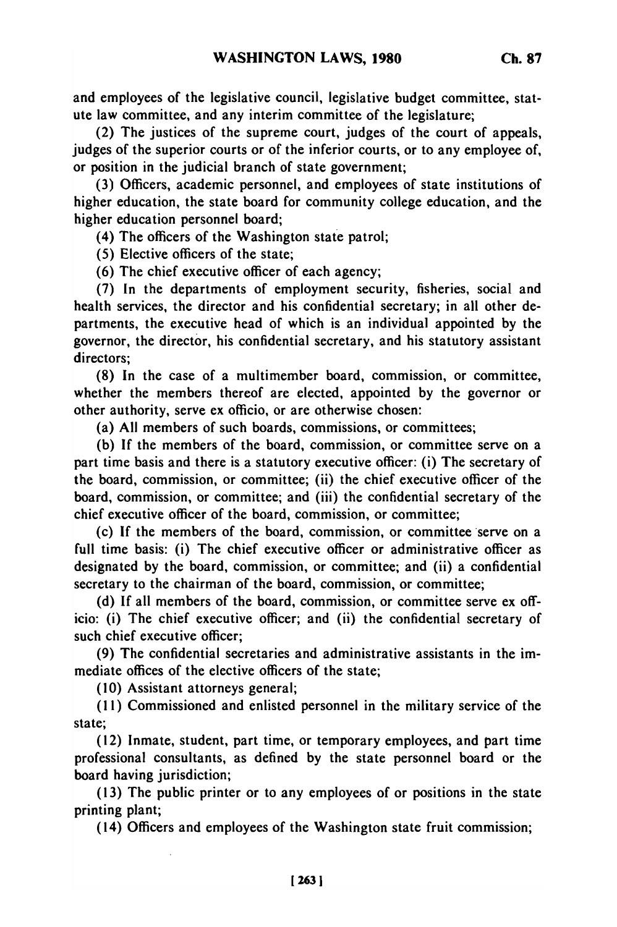and employees of the legislative council, legislative budget committee, statute law committee, and any interim committee of the legislature;

(2) The justices of the supreme court, judges of the court of appeals, judges of the superior courts or of the inferior courts, or to any employee of, or position in the judicial branch of state government;

(3) Officers, academic personnel, and employees of state institutions of higher education, the state board for community college education, and the higher education personnel board;

(4) The officers of the Washington state patrol;

(5) Elective officers of the state;

(6) The chief executive officer of each agency;

(7) In the departments of employment security, fisheries, social and health services, the director and his confidential secretary; in all other departments, the executive head of which is an individual appointed by the governor, the director, his confidential secretary, and his statutory assistant directors;

(8) In the case of a multimember board, commission, or committee, whether the members thereof are elected, appointed by the governor or other authority, serve ex officio, or are otherwise chosen:

(a) All members of such boards, commissions, or committees;

(b) If the members of the board, commission, or committee serve on a part time basis and there is a statutory executive officer: (i) The secretary of the board, commission, or committee; (ii) the chief executive officer of the board, commission, or committee; and (iii) the confidential secretary of the chief executive officer of the board, commission, or committee;

(c) If the members of the board, commission, or committee serve on a full time basis: (i) The chief executive officer or administrative officer as designated by the board, commission, or committee; and (ii) a confidential secretary to the chairman of the board, commission, or committee;

(d) If all members of the board, commission, or committee serve ex officio: (i) The chief executive officer; and (ii) the confidential secretary of such chief executive officer;

(9) The confidential secretaries and administrative assistants in the immediate offices of the elective officers of the state;

(10) Assistant attorneys general;

(11) Commissioned and enlisted personnel in the military service of the state;

(12) Inmate, student, part time, or temporary employees, and part time professional consultants, as defined by the state personnel board or the board having jurisdiction;

(13) The public printer or to any employees of or positions in the state printing plant;

(14) Officers and employees of the Washington state fruit commission;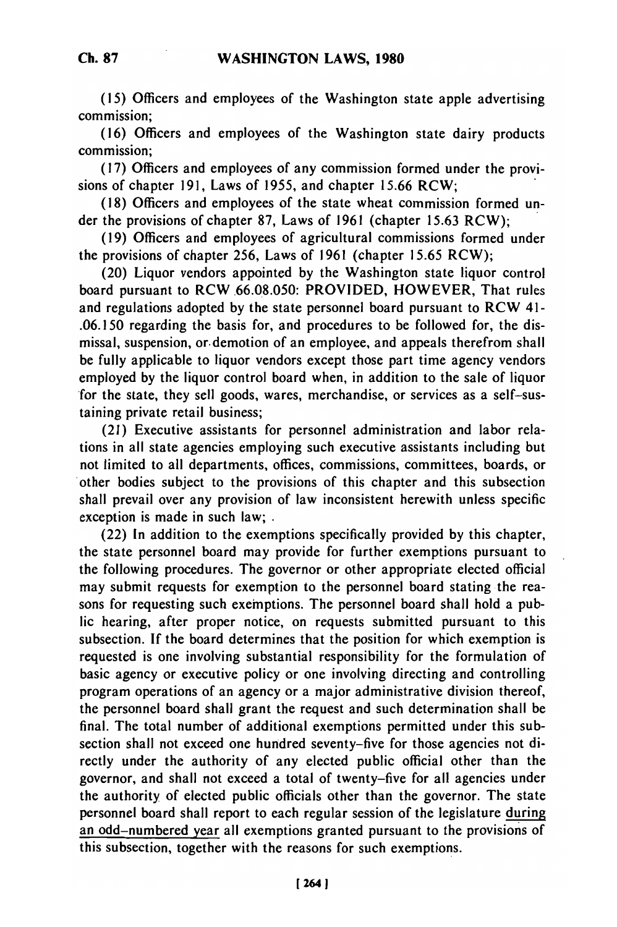(15) Officers and employees of the Washington state apple advertising commission;

(16) Officers and employees of the Washington state dairy products commission;

(17) Officers and employees of any commission formed under the provisions of chapter 191, Laws of 1955, and chapter 15.66 RCW;

(18) Officers and employees of the state wheat commission formed under the provisions of chapter 87, Laws of 1961 (chapter 15.63 RCW);

(19) Officers and employees of agricultural commissions formed under the provisions of chapter 256, Laws of 1961 (chapter 15.65 RCW);

(20) Liquor vendors appointed by the Washington state liquor control board pursuant to RCW 66.08.050: PROVIDED, HOWEVER, That rules and regulations adopted by the state personnel board pursuant to RCW 41- .06.150 regarding the basis for, and procedures to be followed for, the dismissal, suspension, or. demotion of an employee, and appeals therefrom shall be fully applicable to liquor vendors except those part time agency vendors employed by the liquor control board when, in addition to the sale of liquor for the state, they sell goods, wares, merchandise, or services as a self-sustaining private retail business;

(21) Executive assistants for personnel administration and labor relations in all state agencies employing such executive assistants including but not limited to all departments, offices, commissions, committees, boards, or other bodies subject to the provisions of this chapter and this subsection shall prevail over any provision of law inconsistent herewith unless specific exception is made in such law; **.**

(22) In addition to the exemptions specifically provided by this chapter, the state personnel board may provide for further exemptions pursuant to the following procedures. The governor or other appropriate elected official may submit requests for exemption to the personnel board stating the reasons for requesting such exemptions. The personnel board shall hold a public hearing, after proper notice, on requests submitted pursuant to this subsection. If the board determines that the position for which exemption is requested is one involving substantial responsibility for the formulation of basic agency or executive policy or one involving directing and controlling program operations of an agency or a major administrative division thereof, the personnel board shall grant the request and such determination shall be final. The total number of additional exemptions permitted under this subsection shall not exceed one hundred seventy-five for those agencies not directly under the authority of any elected public official other than the governor, and shall not exceed a total of twenty-five for all agencies under the authority of elected public officials other than the governor. The state personnel board shall report to each regular session of the legislature during an odd-numbered year all exemptions granted pursuant to the provisions of this subsection, together with the reasons for such exemptions.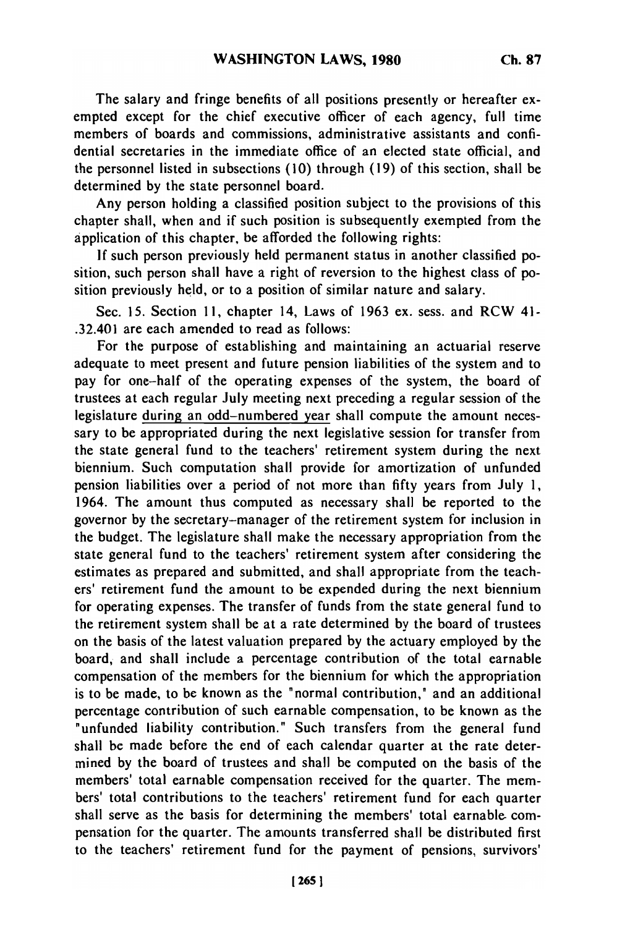**The** salary and fringe benefits of all positions presently or hereafter exempted except for the chief executive officer of each agency, full time members of boards and commissions, administrative assistants and confidential secretaries in the immediate office of an elected state official, and the personnel listed in subsections (10) through (19) of this section, shall be determined by the state personnel board.

Any person holding a classified position subject to the provisions of this chapter shall, when and if such position is subsequently exempted from the application of this chapter, be afforded the following rights:

If such person previously held permanent status in another classified position, such person shall have a right of reversion to the highest class of position previously held, or to a position of similar nature and salary.

Sec. 15. Section 11, chapter 14, Laws of 1963 ex. sess. and RCW 41- .32.401 are each amended to read as follows:

For the purpose of establishing and maintaining an actuarial reserve adequate to meet present and future pension liabilities of the system and to pay for one-half of the operating expenses of the system, the board of trustees at each regular July meeting next preceding a regular session of the legislature during an odd-numbered year shall compute the amount necessary to be appropriated during the next legislative session for transfer from the state general fund to the teachers' retirement system during the next biennium. Such computation shall provide for amortization of unfunded pension liabilities over a period of not more than fifty years from July 1, 1964. The amount thus computed as necessary shall be reported to the governor by the secretary-manager of the retirement system for inclusion in the budget. The legislature shall make the necessary appropriation from the state general fund to the teachers' retirement system after considering the estimates as prepared and submitted, and shall appropriate from the teachers' retirement fund the amount to be expended during the next biennium for operating expenses. The transfer of funds from the state general fund to the retirement system shall be at a rate determined by the board of trustees on the basis of the latest valuation prepared by the actuary employed by the board, and shall include a percentage contribution of the total earnable compensation of the members for the biennium for which the appropriation is to be made, to be known as the "normal contribution," and an additional percentage contribution of such earnable compensation, to be known as the "unfunded liability contribution." Such transfers from the general fund shall be made before the end of each calendar quarter at the rate determined by the board of trustees and shall be computed on the basis of the members' total earnable compensation received for the quarter. The members' total contributions to the teachers' retirement fund for each quarter shall serve as the basis for determining the members' total earnable-compensation for the quarter. The amounts transferred shall be distributed first to the teachers' retirement fund for the payment of pensions, survivors'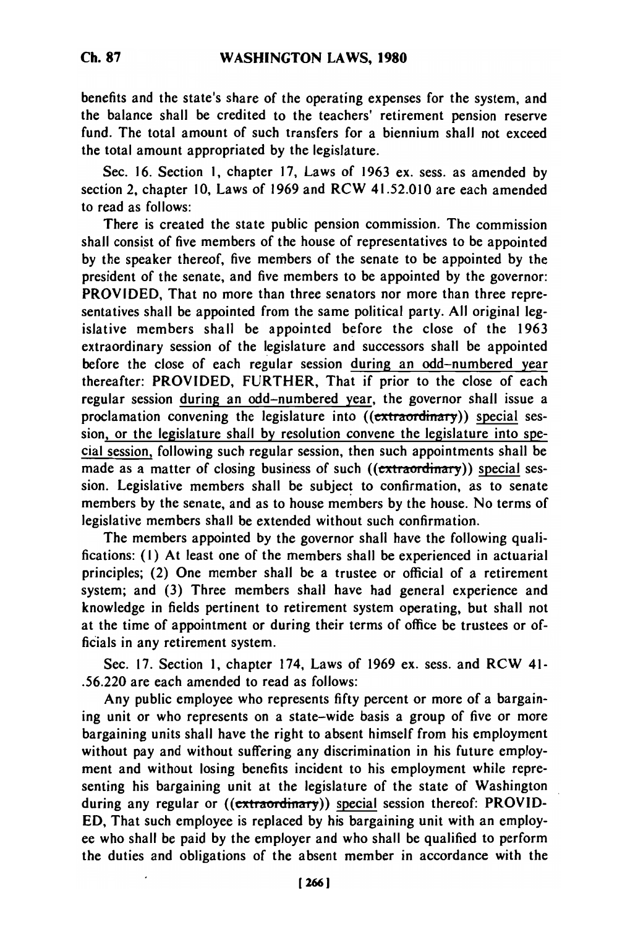benefits and the state's share of the operating expenses for the system, and the balance shall be credited to the teachers' retirement pension reserve fund. The total amount of such transfers for a biennium shall not exceed the total amount appropriated **by** the legislature.

Sec. 16. Section **1,** chapter 17, Laws of 1963 ex. sess. as amended **by** section 2, chapter 10, Laws of 1969 and RCW 41.52.010 are each amended to read as follows:

There is created the state public pension commission. The commission shall consist of five members of the house of representatives to be appointed **by** the speaker thereof, five members of the senate to be appointed **by** the president of the senate, and five members to be appointed **by** the governor: PROVIDED, That no more than three senators nor more than three representatives shall be appointed from the same political party. All original legislative members shall be appointed before the close of the 1963 extraordinary session of the legislature and successors shall be appointed before the close of each regular session during an odd-numbered year thereafter: PROVIDED, FURTHER, That if prior to the close of each regular session during an odd-numbered year, the governor shall issue a proclamation convening the legislature into  $((\epsilon x$ traordinary)) special session, or the legislature shall by resolution convene the legislature into special session, following such regular session, then such appointments shall be made as a matter of closing business of such ((extraordinary)) special session. Legislative members shall be subject to confirmation, as to senate members by the senate, and as to house members by the house. No terms of legislative members shall be extended without such confirmation.

The members appointed by the governor shall have the following qualifications: **(1)** At least one of the members shall be experienced in actuarial principles; (2) One member shall be a trustee or official of a retirement system; and (3) Three members shall have had general experience and knowledge in fields pertinent to retirement system operating, but shall not at the time of appointment or during their terms of office be trustees or officials in any retirement system.

Sec. 17. Section 1, chapter 174, Laws of 1969 ex. sess. and RCW 41- .56.220 are each amended to read as follows:

Any public employee who represents fifty percent or more of a bargaining unit or who represents on a state-wide basis a group of five or more bargaining units shall have the right to absent himself from his employment without pay and without suffering any discrimination in his future employment and without losing benefits incident to his employment while representing his bargaining unit at the legislature of the state of Washington during any regular or ((extraordinary)) special session thereof: PROVID-ED, That such employee is replaced by his bargaining unit with an employee who shall be paid by the employer and who shall be qualified to perform the duties and obligations of the absent member in accordance with the

**Ch. 87**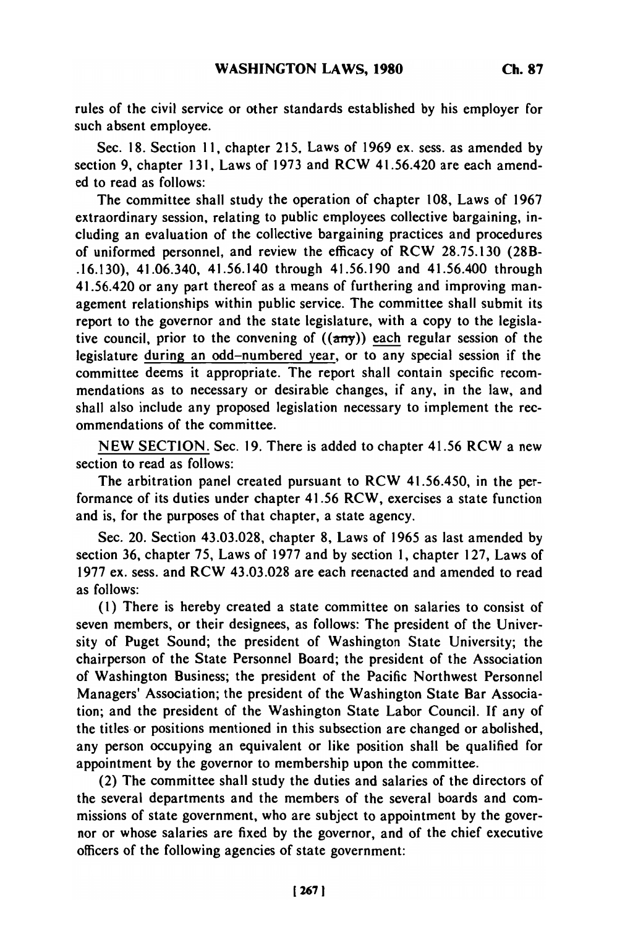rules of the civil service or other standards established **by** his employer for such absent employee.

Sec. 18. Section 11, chapter 215, Laws of 1969 ex. sess. as amended by section 9, chapter 131, Laws of 1973 and RCW 41.56.420 are each amended to read as follows:

The committee shall study the operation of chapter 108, Laws of 1967 extraordinary session, relating to public employees collective bargaining, including an evaluation of the collective bargaining practices and procedures of uniformed personnel, and review the efficacy of RCW 28.75.130 (28B- .16.130), 41.06.340, 41.56.140 through 41.56.190 and 41.56.400 through 41.56.420 or any part thereof as a means of furthering and improving management relationships within public service. The committee shall submit its report to the governor and the state legislature, with a copy to the legislative council, prior to the convening of  $((a\pi y))$  each regular session of the legislature during an odd-numbered year, or to any special session if the committee deems it appropriate. The report shall contain specific recommendations as to necessary or desirable changes, if any, in the law, and shall also include any proposed legislation necessary to implement the recommendations of the committee.

NEW SECTION. Sec. 19. There is added to chapter 41.56 RCW a new section to read as follows:

The arbitration panel created pursuant to RCW 41.56.450, in the performance of its duties under chapter 41.56 RCW, exercises a state function and is, for the purposes of that chapter, a state agency.

Sec. 20. Section 43.03.028, chapter 8, Laws of 1965 as last amended by section 36, chapter 75, Laws of 1977 and by section 1, chapter 127, Laws of 1977 ex. sess. and RCW 43.03.028 are each reenacted and amended to read as follows:

**(1)** There is hereby created a state committee on salaries to consist of seven members, or their designees, as follows: The president of the University of Puget Sound; the president of Washington State University; the chairperson of the State Personnel Board; the president of the Association of Washington Business; the president of the Pacific Northwest Personnel Managers' Association; the president of the Washington State Bar Association; and the president of the Washington State Labor Council. If any of the titles or positions mentioned in this subsection are changed or abolished, any person occupying an equivalent or like position shall be qualified for appointment by the governor to membership upon the committee.

(2) The committee shall study the duties and salaries of the directors of the several departments and the members of the several boards and commissions of state government, who are subject to appointment by the governor or whose salaries are fixed by the governor, and of the chief executive officers of the following agencies of state government: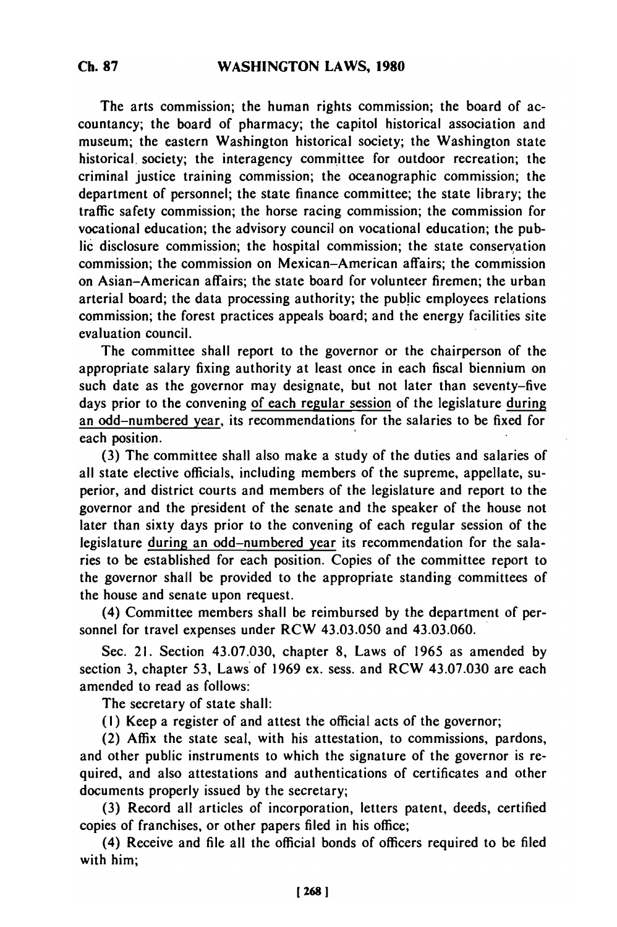The arts commission; the human rights commission; the board of accountancy; the board of pharmacy; the capitol historical association and museum; the eastern Washington historical society; the Washington state historical. society; the interagency committee for outdoor recreation; the criminal justice training commission; the oceanographic commission; the department of personnel; the state finance committee; the state library; the traffic safety commission; the horse racing commission; the commission for vocational education; the advisory council on vocational education; the public disclosure commission; the hospital commission; the state conservation commission; the commission on Mexican-American affairs; the commission on Asian-American affairs; the state board for volunteer firemen; the urban arterial board; the data processing authority; the public employees relations commission; the forest practices appeals board; and the energy facilities site evaluation council.

The committee shall report to the governor or the chairperson of the appropriate salary fixing authority at least once in each fiscal biennium on such date as the governor may designate, but not later than seventy-five days prior to the convening of each regular session of the legislature during an odd-numbered year, its recommendations for the salaries to be fixed for each position.

(3) The committee shall also make a study of the duties and salaries of all state elective officials, including members of the supreme, appellate, superior, and district courts and members of the legislature and report to the governor and the president of the senate and the speaker of the house not later than sixty days prior to the convening of each regular session of the legislature during an odd-numbered year its recommendation for the salaries to be established for each position. Copies of the committee report to the governor shall be provided to the appropriate standing committees of the house and senate upon request.

(4) Committee members shall be reimbursed by the department of personnel for travel expenses under RCW 43.03.050 and 43.03.060.

Sec. 21. Section 43.07.030, chapter 8, Laws of 1965 as amended by section 3, chapter 53, Laws of 1969 ex. sess. and RCW 43.07.030 are each amended to read as follows:

The secretary of state shall:

(I) Keep a register of and attest the official acts of the governor;

(2) Affix the state seal, with his attestation, to commissions, pardons, and other public instruments to which the signature of the governor is required, and also attestations and authentications of certificates and other documents properly issued by the secretary;

(3) Record all articles of incorporation, letters patent, deeds, certified copies of franchises, or other papers filed in his office;

(4) Receive and file all the official bonds of officers required to be filed with him;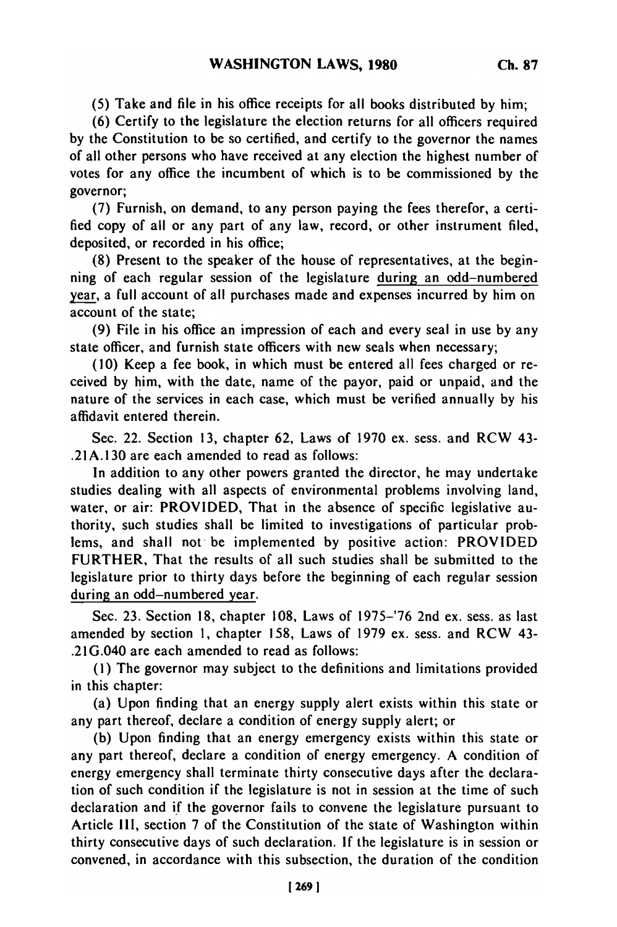**(5)** Take and file in his office receipts for all books distributed **by** him;

(6) Certify to the legislature the election returns for all officers required by the Constitution to be so certified, and certify to the governor the names of all other persons who have received at any election the highest number of votes for any office the incumbent of which is to be commissioned by the governor;

(7) Furnish, on demand, to any person paying the fees therefor, a certified copy of all or any part of any law, record, or other instrument filed, deposited, or recorded in his office;

(8) Present to the speaker of the house of representatives, at the beginning of each regular session of the legislature during an odd-numbered year, a full account of all purchases made and expenses incurred by him on account of the state;

(9) File in his office an impression of each and every seal in use by any state officer, and furnish state officers with new seals when necessary;

(10) Keep a fee book, in which must be entered all fees charged or received by him, with the date, name of the payor, paid or unpaid, and the nature of the services in each case, which must be verified annually by his affidavit entered therein.

Sec. 22. Section 13, chapter 62, Laws of 1970 ex. sess. and RCW 43- .21A.130 are each amended to read as follows:

In addition to any other powers granted the director, he may undertake studies dealing with all aspects of environmental problems involving land, water, or air: PROVIDED, That in the absence of specific legislative authority, such studies shall be limited to investigations of particular problems, and shall not be implemented by positive action: PROVIDED FURTHER, That the results of all such studies shall be submitted to the legislature prior to thirty days before the beginning of each regular session during an odd-numbered year.

Sec. 23. Section 18, chapter 108, Laws of 1975-'76 2nd ex. sess. as last amended by section 1, chapter 158, Laws of 1979 ex. sess. and RCW 43- .21G.040 are each amended to read as follows:

**(1)** The governor may subject to the definitions and limitations provided in this chapter:

(a) Upon finding that an energy supply alert exists within this state or any part thereof, declare a condition of energy supply alert; or

(b) Upon finding that an energy emergency exists within this state or any part thereof, declare a condition of energy emergency. A condition of energy emergency shall terminate thirty consecutive days after the declaration of such condition if the legislature is not in session at the time of such declaration and if the governor fails to convene the legislature pursuant to Article III, section 7 of the Constitution of the state of Washington within thirty consecutive days of such declaration. If the legislature is in session or convened, in accordance with this subsection, the duration of the condition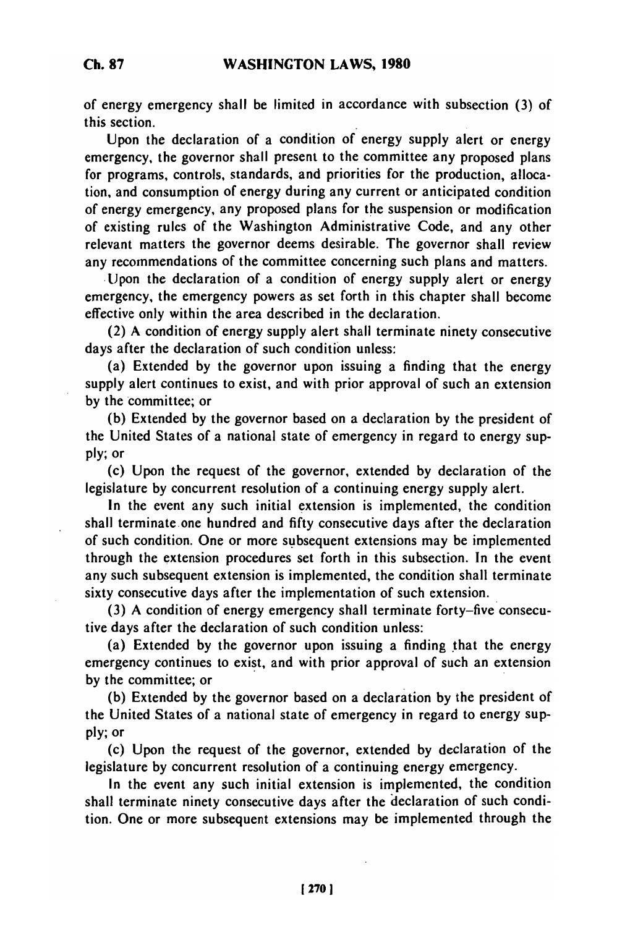of energy emergency shall be limited in accordance with subsection **(3)** of this section.

Upon the declaration of a condition of energy supply alert or energy emergency, the governor shall present to the committee any proposed plans for programs, controls, standards, and priorities for the production, allocation, and consumption of energy during any current or anticipated condition of energy emergency, any proposed plans for the suspension or modification of existing rules of the Washington Administrative Code, and any other relevant matters the governor deems desirable. The governor shall review any recommendations of the committee concerning such plans and matters.

,Upon the declaration of a condition of energy supply alert or energy emergency, the emergency powers as set forth in this chapter shall become effective only within the area described in the declaration.

(2) A condition of energy supply alert shall terminate ninety consecutive days after the declaration of such condition unless:

(a) Extended by the governor upon issuing a finding that the energy supply alert continues to exist, and with prior approval of such an extension by the committee; or

(b) Extended by the governor based on a declaration by the president of the United States of a national state of emergency in regard to energy supply; or

(c) Upon the request of the governor, extended by declaration of the legislature by concurrent resolution of a continuing energy supply alert.

In the event any such initial extension is implemented, the condition shall terminate one hundred and fifty consecutive days after the declaration of such condition. One or more subsequent extensions may be implemented through the extension procedures set forth in this subsection. In the event any such subsequent extension is implemented, the condition shall terminate sixty consecutive days after the implementation of such extension.

(3) A condition of energy emergency shall terminate forty-five consecutive days after the declaration of such condition unless:

(a) Extended by the governor upon issuing a finding that the energy emergency continues to exist, and with prior approval of such an extension by the committee; or

(b) Extended by the governor based on a declaration by the president of the United States of a national state of emergency in regard to energy supply; or

(c) Upon the request of the governor, extended by declaration of the legislature by concurrent resolution of a continuing energy emergency.

In the event any such initial extension is implemented, the condition shall terminate ninety consecutive days after the declaration of such condition. One or more subsequent extensions may be implemented through the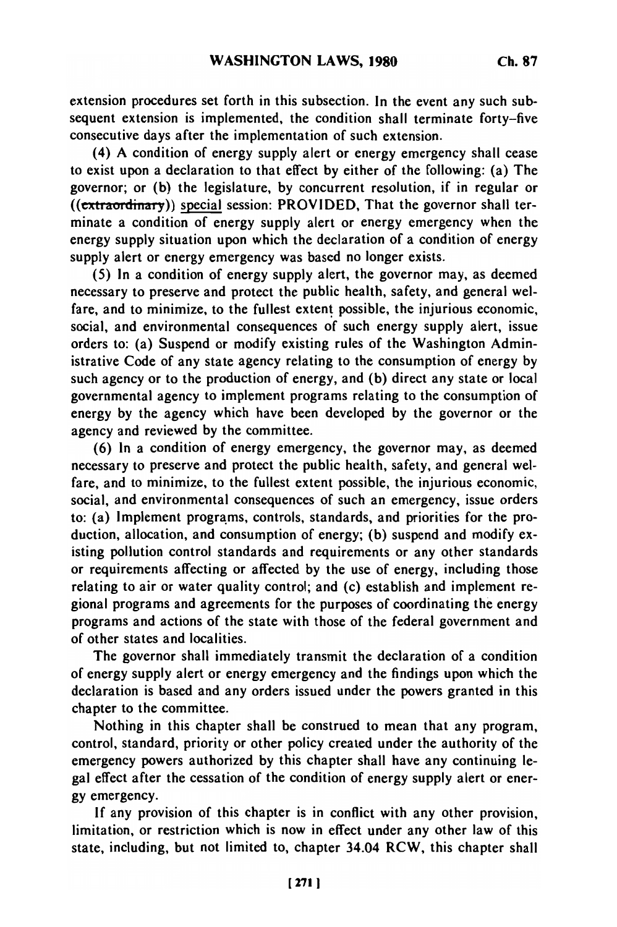extension procedures set forth in this subsection. In the event any such subsequent extension is implemented, the condition shall terminate forty-five consecutive days after the implementation of such extension.

(4) **A** condition of energy supply alert or energy emergency shall cease to exist upon a declaration to that effect **by** either of the following: (a) The governor; or **(b)** the legislature, **by** concurrent resolution, if in regular or ((extraordinay)) special session: PROVIDED, That the governor shall terminate a condition of energy supply alert or energy emergency when the energy supply situation upon which the declaration of a condition of energy supply alert or energy emergency was based no longer exists.

(5) In a condition of energy supply alert, the governor may, as deemed necessary to preserve and protect the public health, safety, and general welfare, and to minimize, to the fullest extent possible, the injurious economic, social, and environmental consequences of such energy supply alert, issue orders to: (a) Suspend or modify existing rules of the Washington Administrative Code of any state agency relating to the consumption of energy by such agency or to the production of energy, and (b) direct any state or local governmental agency to implement programs relating to the consumption of energy by the agency which have been developed by the governor or the agency and reviewed by the committee.

(6) In a condition of energy emergency, the governor may, as deemed necessary to preserve and protect the public health, safety, and general welfare, and to minimize, to the fullest extent possible, the injurious economic, social, and environmental consequences of such an emergency, issue orders to: (a) Implement programs, controls, standards, and priorities for the production, allocation, and consumption of energy; (b) suspend and modify existing pollution control standards and requirements or any other standards or requirements affecting or affected by the use of energy, including those relating to air or water quality control; and (c) establish and implement regional programs and agreements for the purposes of coordinating the energy programs and actions of the state with those of the federal government and of other states and localities.

The governor shall immediately transmit the declaration of a condition of energy supply alert or energy emergency and the findings upon which the declaration is based and any orders issued under the powers granted in this chapter to the committee.

Nothing in this chapter shall be construed to mean that any program, control, standard, priority or other policy created under the authority of the emergency powers authorized by this chapter shall have any continuing legal effect after the cessation of the condition of energy supply alert or energy emergency.

If any provision of this chapter is in conflict with any other provision, limitation, or restriction which is now in effect under any other law of this state, including, but not limited to, chapter 34.04 RCW, this chapter shall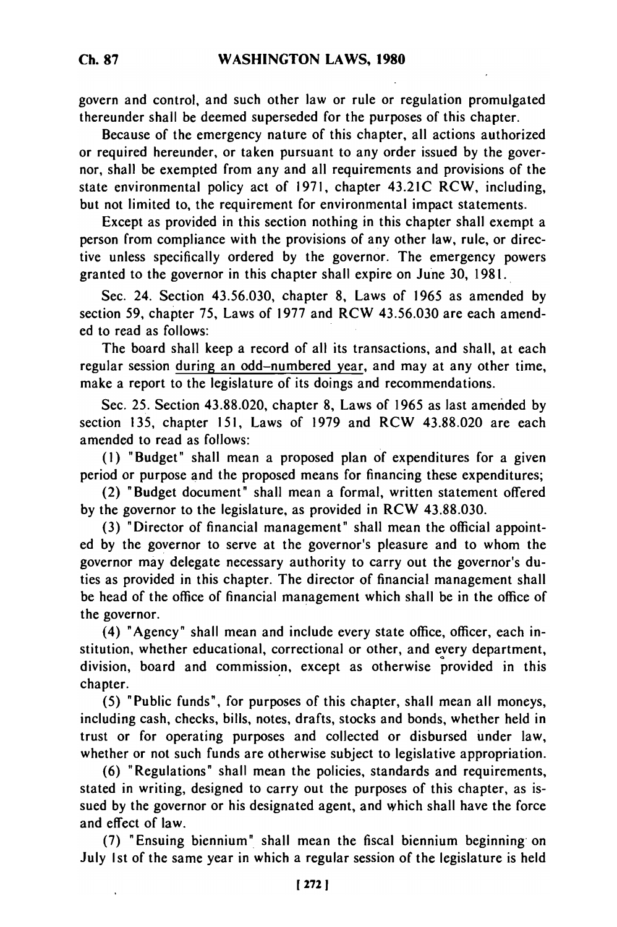**Ch. 87**

govern and control, and such other law or rule or regulation promulgated thereunder shall be deemed superseded for the purposes of this chapter.

Because of the emergency nature of this chapter, all actions authorized or required hereunder, or taken pursuant to any order issued by the governor, shall be exempted from any and all requirements and provisions of the state environmental policy act of 1971, chapter 43.21C RCW, including, but not limited to, the requirement for environmental impact statements.

Except as provided in this section nothing in this chapter shall exempt a person from compliance with the provisions of any other law, rule, or directive unless specifically ordered by the governor. The emergency powers granted to the governor in this chapter shall expire on June 30, 1981.

Sec. 24. Section 43.56.030, chapter **8,** Laws of 1965 as amended by section **59,** chapter 75, Laws of 1977 and RCW 43.56.030 are each amended to read as follows:

The board shall keep a record of all its transactions, and shall, at each regular session during an odd-numbered year, and may at any other time, make a report to the legislature of its doings and recommendations.

Sec. 25. Section 43.88.020, chapter 8, Laws of 1965 as last amended by section 135, chapter 151, Laws of 1979 and RCW 43.88.020 are each amended to read as follows:

**(1)** "Budget" shall mean a proposed plan of expenditures for a given period or purpose and the proposed means for financing these expenditures;

(2) "Budget document" shall mean a formal, written statement offered by the governor to the legislature, as provided in RCW 43.88.030.

(3) "Director of financial management" shall mean the official appointed by the governor to serve at the governor's pleasure and to whom the governor may delegate necessary authority to carry out the governor's duties as provided in this chapter. The director of financial management shall be head of the office of financial management which shall be in the office of the governor.

(4) "Agency" shall mean and include every state office, officer, each institution, whether educational, correctional or other, and every department, division, board and commission, except as otherwise provided in this chapter.

(5) "Public funds", for purposes of this chapter, shall mean all moneys, including cash, checks, bills, notes, drafts, stocks and bonds, whether held in trust or for operating purposes and collected or disbursed under law, whether or not such funds are otherwise subject to legislative appropriation.

(6) "Regulations" shall mean the policies, standards and requirements, stated in writing, designed to carry out the purposes of this chapter, as issued by the governor or his designated agent, and which shall have the force and effect of law.

(7) "Ensuing biennium" shall mean the fiscal biennium beginning on July Ist of the same year in which a regular session of the legislature is held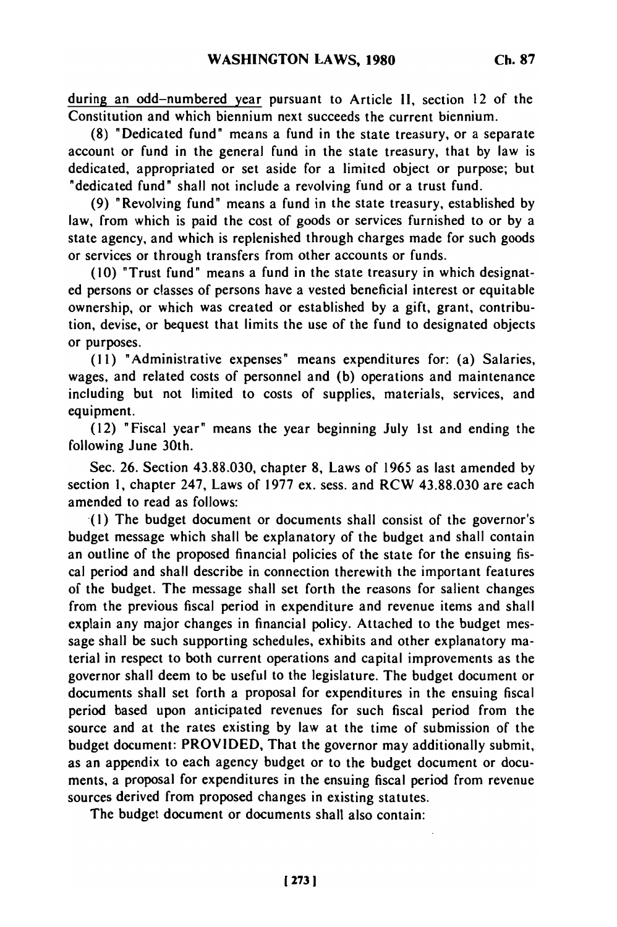during an odd-numbered year pursuant to Article 11, section 12 of the Constitution and which biennium next succeeds the current biennium.

(8) "Dedicated fund" means a fund in the state treasury, or a separate account or fund in the general fund in the state treasury, that by law is dedicated, appropriated or set aside for a limited object or purpose; but "dedicated fund" shall not include a revolving fund or a trust fund.

(9) "Revolving fund" means a fund in the state treasury, established by law, from which is paid the cost of goods or services furnished to or by a state agency, and which is replenished through charges made for such goods or services or through transfers from other accounts or funds.

(10) "Trust fund" means a fund in the state treasury in which designated persons or classes of persons have a vested beneficial interest or equitable ownership, or which was created or established by a gift, grant, contribution, devise, or bequest that limits the use of the fund to designated objects or purposes.

**(11)** "Administrative expenses" means expenditures for: (a) Salaries, wages, and related costs of personnel and (b) operations and maintenance including but not limited to costs of supplies, materials, services, and equipment.

(12) "Fiscal year" means the year beginning July 1st and ending the following June 30th.

Sec. 26. Section 43.88.030, chapter 8, Laws of 1965 as last amended by section **1,** chapter 247, Laws of 1977 ex. sess. and RCW 43.88.030 are each amended to read as follows:

(I) The budget document or documents shall consist of the governor's budget message which shall be explanatory of the budget and shall contain an outline of the proposed financial policies of the state for the ensuing fiscal period and shall describe in connection therewith the important features of the budget. The message shall set forth the reasons for salient changes from the previous fiscal period in expenditure and revenue items and shall explain any major changes in financial policy. Attached to the budget message shall be such supporting schedules, exhibits and other explanatory material in respect to both current operations and capital improvements as the governor shall deem to be useful to the legislature. The budget document or documents shall set forth a proposal for expenditures in the ensuing fiscal period based upon anticipated revenues for such fiscal period from the source and at the rates existing by law at the time of submission of the budget document: PROVIDED, That the governor may additionally submit, as an appendix to each agency budget or to the budget document or documents, a proposal for expenditures in the ensuing fiscal period from revenue sources derived from proposed changes in existing statutes.

The budget document or documents shall also contain: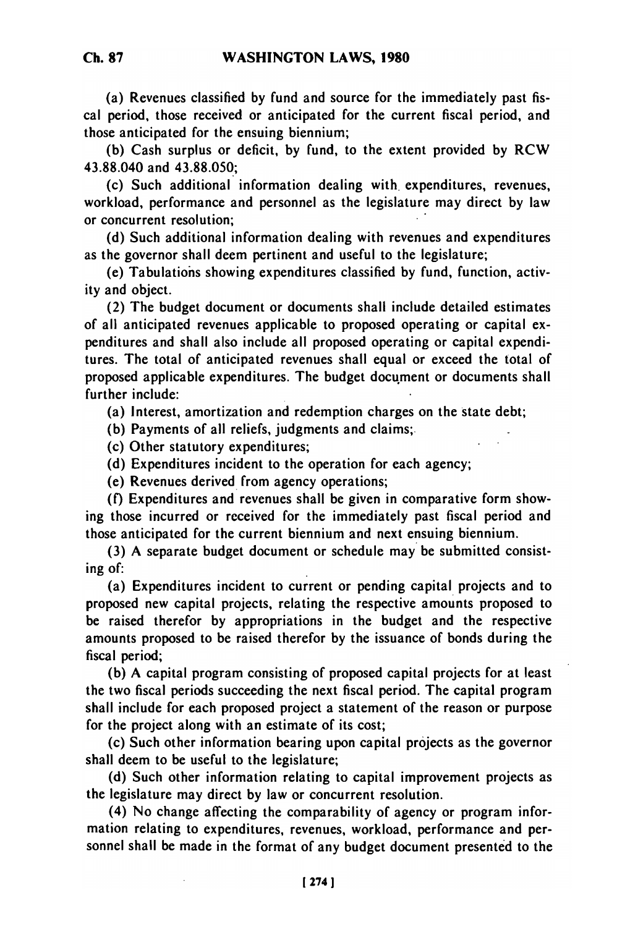(a) Revenues classified by fund and source for the immediately past fiscal period, those received or anticipated for the current fiscal period, and those anticipated for the ensuing biennium;

(b) Cash surplus or deficit, by fund, to the extent provided by RCW 43.88.040 and 43.88.050;

(c) Such additional information dealing with expenditures, revenues, workload, performance and personnel as the legislature may direct by law or concurrent resolution;

(d) Such additional information dealing with revenues and expenditures as the governor shall deem pertinent and useful to the legislature;

(e) Tabulations showing expenditures classified by fund, function, activity and object.

(2) The budget document or documents shall include detailed estimates of all anticipated revenues applicable to proposed operating or capital expenditures and shall also include all proposed operating or capital expenditures. The total of anticipated revenues shall equal or exceed the total of proposed applicable expenditures. The budget document or documents shall further include:

(a) Interest, amortization and redemption charges on the state debt;

(b) Payments of all reliefs, judgments and claims;

(c) Other statutory expenditures;

(d) Expenditures incident to the operation for each agency;

(e) Revenues derived from agency operations;

(f) Expenditures and revenues shall be given in comparative form showing those incurred or received for the immediately past fiscal period and those anticipated for the current biennium and next ensuing biennium.

(3) A separate budget document or schedule may be submitted consisting of:

(a) Expenditures incident to current or pending capital projects and to proposed new capital projects, relating the respective amounts proposed to be raised therefor by appropriations in the budget and the respective amounts proposed to be raised therefor by the issuance of bonds during the fiscal period;

(b) A capital program consisting of proposed capital projects for at least the two fiscal periods succeeding the next fiscal period. The capital program shall include for each proposed project a statement of the reason or purpose for the project along with an estimate of its cost;

(c) Such other information bearing upon capital projects as the governor shall deem to be useful to the legislature;

(d) Such other information relating to capital improvement projects as the legislature may direct by law or concurrent resolution.

registature may uncer by law or concurrent resolution.<br>(A) No change affecting the comparability of agency or program information relating to expenditures, revenues, workload, performance and permation relating to expenditures, revenues, workload, performance and personnel shall be made in the format of any budget document presented to the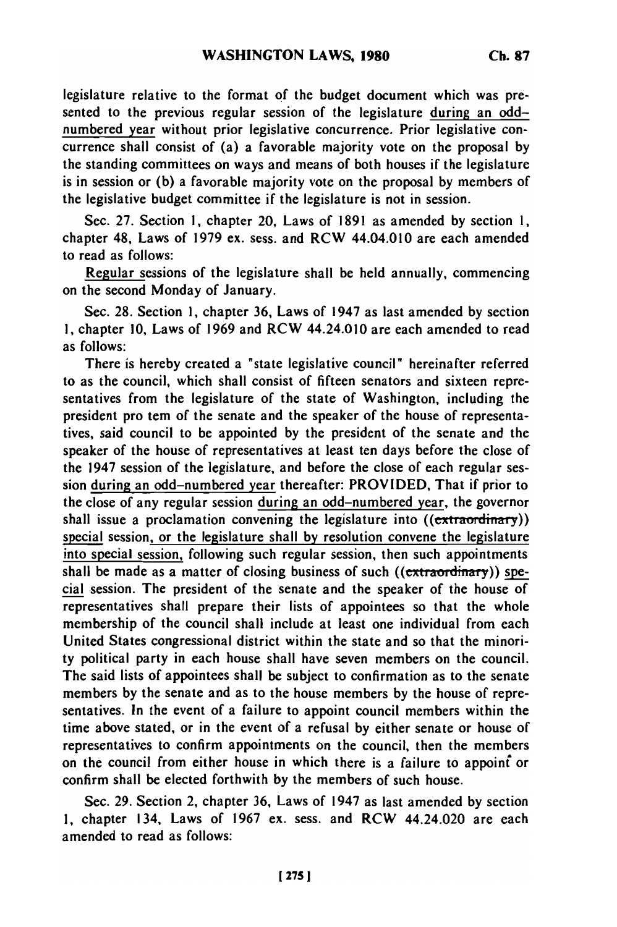legislature relative to the format **of** the budget document which was presented to the previous regular session of the legislature during an oddnumbered year without prior legislative concurrence. Prior legislative concurrence shall consist of (a) a favorable majority vote on the proposal **by** the standing committees on ways and means of both houses if the legislature is in session or **(b)** a favorable majority vote on the proposal **by** members of the legislative budget committee if the legislature is not in session.

Sec. **27.** Section **1,** chapter 20, Laws of **1891** as amended **by** section **1,** chapter 48, Laws of **1979** ex. sess. and RCW 44.04.010 are each amended to read as follows:

Regular sessions of the legislature shall be held annually, commencing on the second Monday of January.

Sec. **28.** Section **1,** chapter **36,** Laws of 1947 as last amended **by** section **1,** chapter **10,** Laws of **1969** and RCW 44.24.010 are each amended to read as follows:

There is hereby created a "state legislative council" hereinafter referred to as the council, which shall consist of fifteen senators and sixteen representatives from the legislature of the state of Washington, including the president pro tem of the senate and the speaker of the house of representatives, said council to be appointed **by** the president of the senate and the speaker of the house of representatives at least ten days before the close of the 1947 session of the legislature, and before the close of each regular session during an odd-numbered year thereafter: PROVIDED, That if prior to the close of any regular session during an odd-numbered year, the governor shall issue a proclamation convening the legislature into  $((extra$ special session, or the legislature shall by resolution convene the legislature into special session, following such regular session, then such appointments shall be made as a matter of closing business of such ((extraordinary)) **spe**cial session. The president of the senate and the speaker of the house of representatives shall prepare their lists of appointees so that the whole membership of the council shall include at least one individual from each United States congressional district within the state and so that the minority political party in each house shall have seven members on the council. The said lists of appointees shall be subject to confirmation as to the senate members **by** the senate and as to the house members **by** the house of representatives. In the event of a failure to appoint council members within the time above stated, or in the event of a refusal **by** either senate or house of representatives to confirm appointments on the council, then the members on the council from either house in which there is a failure to appoint or confirm shall **be** elected forthwith **by** the members of such house.

Sec. **29.** Section 2, chapter **36,** Laws of 1947 as last amended **by** section **1,** chapter 134, Laws of **1967** ex. sess. and RCW 44.24.020 are each amended to read as follows: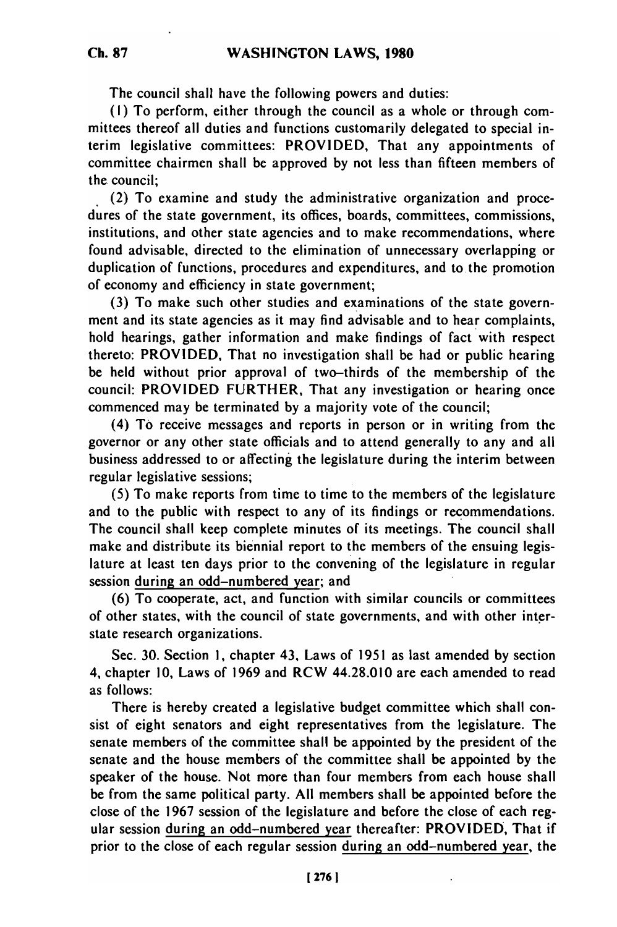The council shall have the following powers and duties:

(I) To perform, either through the council as a whole or through committees thereof all duties and functions customarily delegated to special interim legislative committees: PROVIDED, That any appointments of committee chairmen shall be approved by not less than fifteen members of the council;

(2) To examine and study the administrative organization and procedures of the state government, its offices, boards, committees, commissions, institutions, and other state agencies and to make recommendations, where found advisable, directed to the elimination of unnecessary overlapping or duplication of functions, procedures and expenditures, and to the promotion of economy and efficiency in state government;

(3) To make such other studies and examinations of the state government and its state agencies as it may find advisable and to hear complaints, hold hearings, gather information and make findings of fact with respect thereto: PROVIDED, That no investigation shall be had or public hearing be held without prior approval of two-thirds of the membership of the council: PROVIDED FURTHER, That any investigation or hearing once commenced may be terminated by a majority vote of the council;

(4) To receive messages and reports in person or in writing from the governor or any other state officials and to attend generally to any and all business addressed to or affecting the legislature during the interim between regular legislative sessions;

(5) To make reports from time to time to the members of the legislature and to the public with respect to any of its findings or recommendations. The council shall keep complete minutes of its meetings. The council shall make and distribute its biennial report to the members of the ensuing legislature at least ten days prior to the convening of the legislature in regular session during an odd-numbered year; and

(6) To cooperate, act, and function with similar councils or committees of other states, with the council of state governments, and with other interstate research organizations.

Sec. 30. Section **1,** chapter 43, Laws of 1951 as last amended by section 4, chapter 10, Laws of 1969 and RCW 44.28.010 are each amended to read as follows:

There is hereby created a legislative budget committee which shall consist of eight senators and eight representatives from the legislature. The senate members of the committee shall be appointed by the president of the senate and the house members of the committee shall be appointed by the speaker of the house. Not more than four members from each house shall be from the same political party. All members shall be appointed before the close of the 1967 session of the legislature and before the close of each regular session during an odd-numbered year thereafter: PROVIDED, That if prior to the close of each regular session during an odd-numbered year, the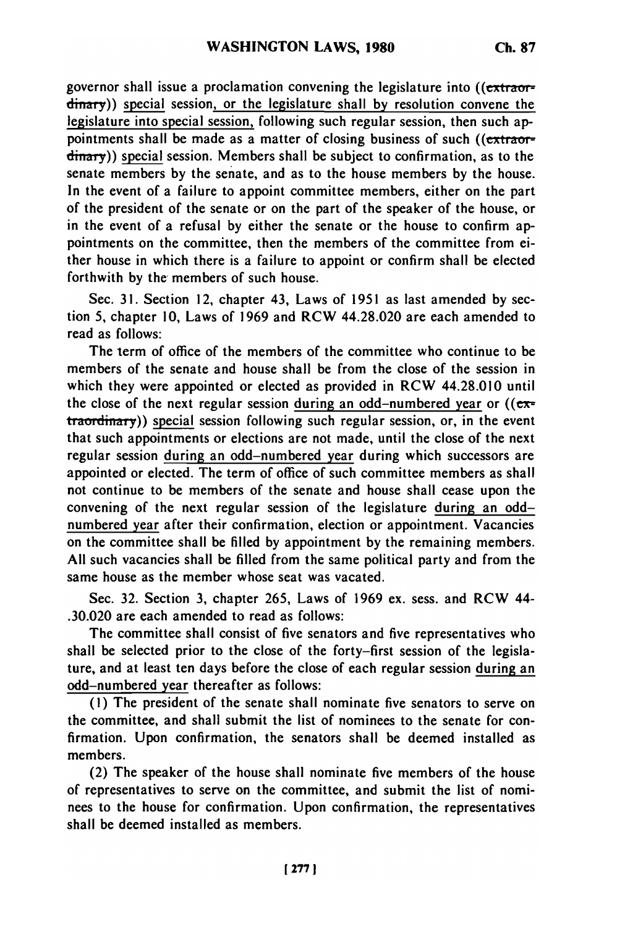governor shall issue a proclamation convening the legislature into  $($ ( $ext{rearr}$ ) dinary)) special session, or the legislature shall by resolution convene the legislature into special session, following such regular session, then such appointments shall be made as a matter of closing business of such ((extraordinary)) special session. Members shall be subject to confirmation, as to the senate members by the senate, and as to the house members by the house. In the event of a failure to appoint committee members, either on the part of the president of the senate or on the part of the speaker of the house, or in the event of a refusal by either the senate or the house to confirm appointments on the committee, then the members of the committee from either house in which there is a failure to appoint or confirm shall be elected forthwith by the members of such house.

Sec. 31. Section 12, chapter 43, Laws of 1951 as last amended by section 5, chapter 10, Laws of 1969 and RCW 44.28.020 are each amended to read as follows:

The term of office of the members of the committee who continue to be members of the senate and house shall be from the close of the session in which they were appointed or elected as provided in RCW 44.28.010 until the close of the next regular session during an odd-numbered year or  $((e^{\pi})$ traordinary)) special session following such regular session, or, in the event that such appointments or elections are not made, until the close of the next regular session during an odd-numbered year during which successors are appointed or elected. The term of office of such committee members as shall not continue to be members of the senate and house shall cease upon the convening of the next regular session of the legislature during an oddnumbered year after their confirmation, election or appointment. Vacancies on the committee shall be filled by appointment by the remaining members. All such vacancies shall be filled from the same political party and from the same house as the member whose seat was vacated.

Sec. 32. Section 3, chapter 265, Laws of 1969 ex. sess. and RCW 44- .30.020 are each amended to read as follows:

The committee shall consist of five senators and five representatives who shall be selected prior to the close of the forty-first session of the legislature, and at least ten days before the close of each regular session during an odd-numbered year thereafter as follows:

**(1)** The president of the senate shall nominate five senators to serve on the committee, and shall submit the list of nominees to the senate for confirmation. Upon confirmation, the senators shall be deemed installed as members.

(2) The speaker of the house shall nominate five members of the house of representatives to serve on the committee, and submit the list of nominees to the house for confirmation. Upon confirmation, the representatives shall be deemed installed as members.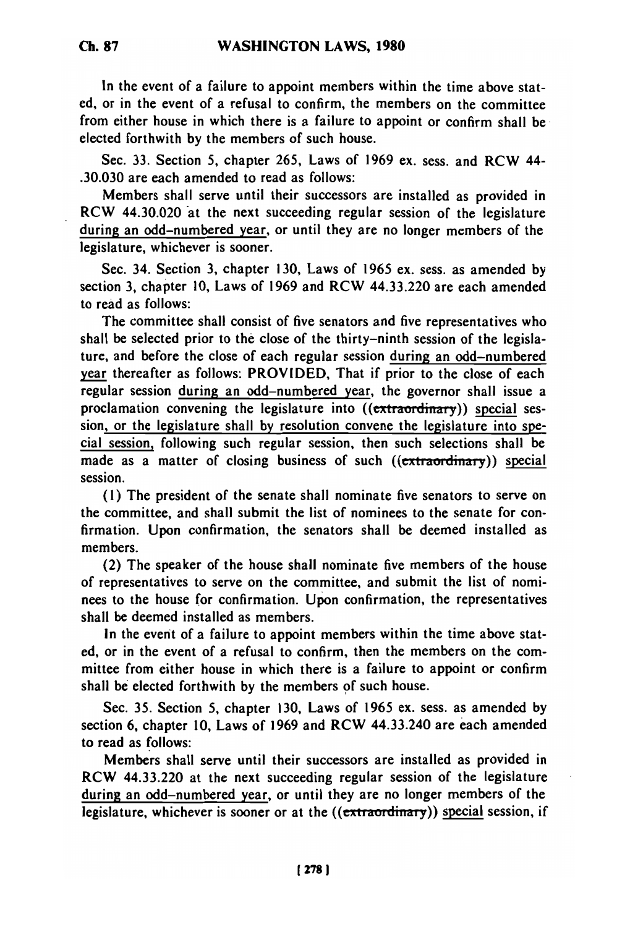In the event of a failure to appoint members within the time above stated, or in the event of a refusal to confirm, the members on the committee from either house in which there is a failure to appoint or confirm shall be elected forthwith **by** the members of such house.

Sec. **33.** Section **5,** chapter **265,** Laws of 1969 ex. sess. and RCW 44- **.30.030** are each amended to read as follows:

Members shall serve until their successors are installed as provided in RCW 44.30.020 at the next succeeding regular session of the legislature during an odd-numbered year, or until they are no longer members of the legislature, whichever is sooner.

Sec. 34. Section 3, chapter **130,** Laws of 1965 ex. sess. as amended **by** section **3,** chapter **10,** Laws of 1969 and RCW 44.33.220 are each amended to read as follows:

The committee shall consist of five senators and five representatives who shall be selected prior to the close of the thirty-ninth session of the legislature, and before the close of each regular session during an odd-numbered year thereafter as follows: PROVIDED, That if prior to the close of each regular session during an odd-numbered year, the governor shall issue a proclamation convening the legislature into  $((\epsilon x)^{10} + \epsilon x)^{10}$  special session, or the legislature shall **by** resolution convene the legislature into spe**cial** session, following such regular session, then such selections shall be made as a matter of closing business of such ((extraordinary)) special session.

**(1)** The president of the senate shall nominate five senators to serve on the committee, and shall submit the list of nominees to the senate for confirmation. Upon confirmation, the senators shall be deemed installed as members.

(2) The speaker of the house shall nominate five members of the house of representatives to serve on the committee, and submit the list of nominees to the house for confirmation. Upon confirmation, the representatives shall be deemed installed as members.

In the event of a failure to appoint members within the time above stated, or in the event of a refusal to confirm, then the members on the committee from either house in which there is a failure to appoint or confirm shall be elected forthwith by the members **of** such house.

Sec. **35.** Section **5,** chapter **130,** Laws **of 1965** ex. sess. as amended **by** section **6,** chapter **10,** Laws of 1969 and RCW 44.33.240 are each amended to read as follows:

Members shall serve until their successors are installed as provided in **RCW** 44.33.220 at the next succeeding regular session of the legislature during an odd-numbered year, or until they are no longer members of the legislature, whichever is sooner or at the  $((\epsilon x)^{i} + \epsilon x)^{i}$  special session, if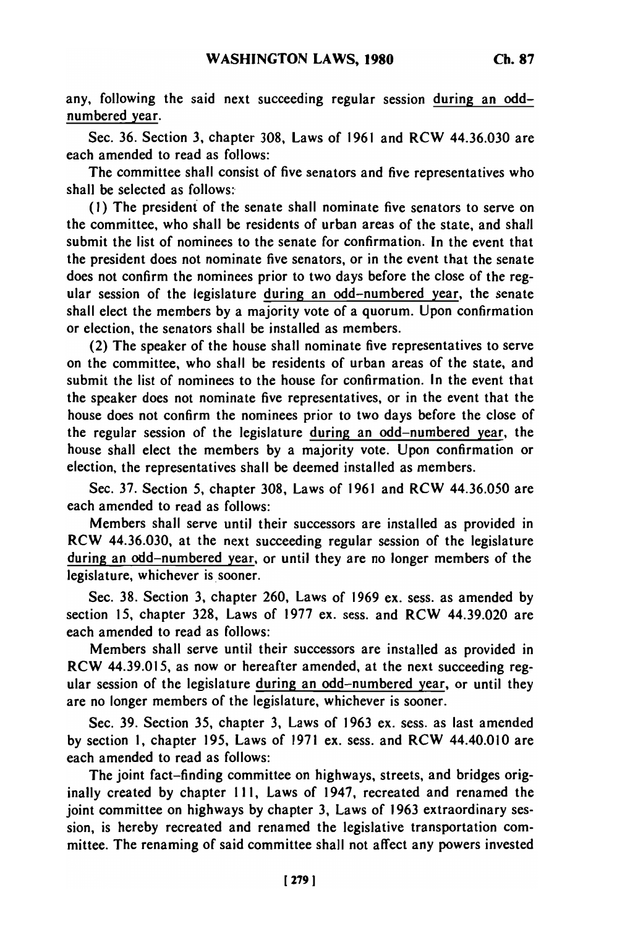any, following the said next succeeding regular session during an oddnumbered year.

Sec. 36. Section **3,** chapter 308, Laws of 1961 and RCW 44.36.030 are each amended to read as follows:

The committee shall consist of five senators and five representatives who shall be selected as follows:

(I) The president of the senate shall nominate five senators to serve on the committee, who shall be residents of urban areas of the state, and shall submit the list of nominees to the senate for confirmation. In the event that the president does not nominate five senators, or in the event that the senate does not confirm the nominees prior to two days before the close of the regular session of the legislature during an odd-numbered year, the senate shall elect the members **by** a majority vote of a quorum. Upon confirmation or election, the senators shall be installed as members.

(2) The speaker of the house shall nominate five representatives to serve on the committee, who shall be residents of urban areas of the state, and submit the list of nominees to the house for confirmation. In the event that the speaker does not nominate five representatives, or in the event that the house does not confirm the nominees prior to two days before the close of the regular session of the legislature during an odd-numbered year, the house shall elect the members by a majority vote. Upon confirmation or election, the representatives shall be deemed installed as members.

Sec. 37. Section 5, chapter 308, Laws of 1961 and RCW 44.36.050 are each amended to read as follows:

Members shall serve until their successors are installed as provided in RCW 44.36.030, at the next succeeding regular session of the legislature during an odd-numbered year, or until they are no longer members of the legislature, whichever is sooner.

Sec. 38. Section **3,** chapter 260, Laws of 1969 ex. sess. as amended by section 15, chapter 328, Laws of **1977** ex. sess. and RCW 44.39.020 are each amended to read as follows:

Members shall serve until their successors are installed as provided in RCW 44.39.015, as now or hereafter amended, at the next succeeding regular session of the legislature during an odd-numbered year, or until they are no longer members of the legislature, whichever is sooner.

Sec. **39.** Section **35,** chapter **3,** Laws of 1963 ex. sess. as last amended by section **1,** chapter 195, Laws of 1971 ex. sess. and RCW 44.40.010 are each amended to read as follows:

The joint fact-finding committee on highways, streets, and bridges originally created by chapter 111, Laws of 1947, recreated and renamed the joint committee on highways by chapter 3, Laws of 1963 extraordinary session, is hereby recreated and renamed the legislative transportation committee. The renaming of said committee shall not affect any powers invested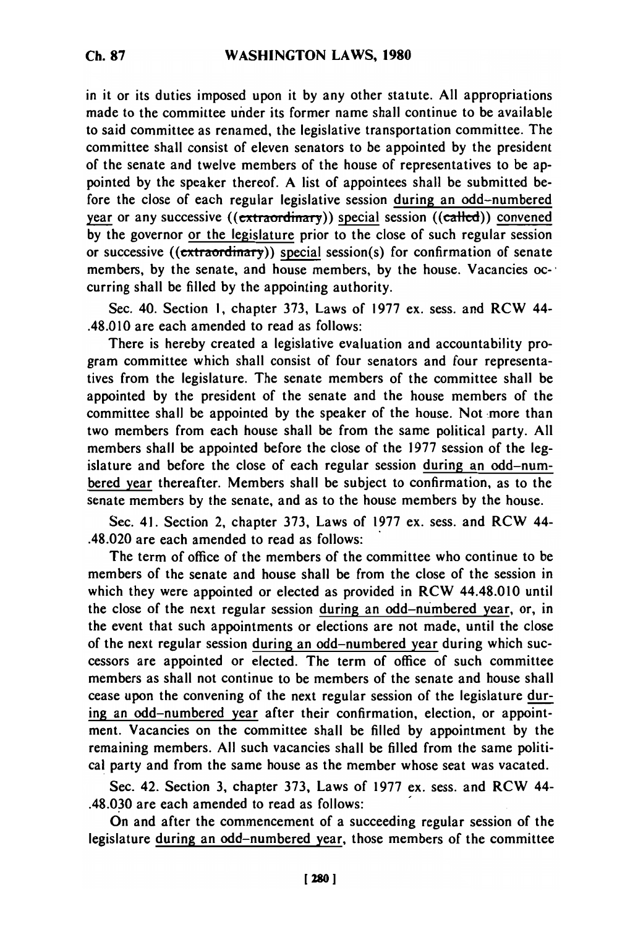in it or its duties imposed upon it **by** any other statute. **All** appropriations made to the committee under its former name shall continue to be available to said committee as renamed, the legislative transportation committee. The committee shall consist of eleven senators to be appointed by the president of the senate and twelve members of the house of representatives to be appointed by the speaker thereof. A list of appointees shall be submitted before the close of each regular legislative session during an odd-numbered year or any successive ((extraordinary)) special session ((called)) convened by the governor or the legislature prior to the close of such regular session or successive ( $(\overline{textmatrix})$ ) special session(s) for confirmation of senate members, by the senate, and house members, by the house. Vacancies occurring shall be filled by the appointing authority.

Sec. 40. Section **1,** chapter 373, Laws of 1977 ex. sess. and RCW 44- .48.010 are each amended to read as follows:

There is hereby created a legislative evaluation and accountability program committee which shall consist of four senators and four representatives from the legislature. The senate members of the committee shall be appointed by the president of the senate and the house members of the committee shall be appointed by the speaker of the house. Not more than two members from each house shall be from the same political party. All members shall be appointed before the close of the 1977 session of the legislature and before the close of each regular session during an odd-numbered year thereafter. Members shall be subject to confirmation, as to the senate members by the senate, and as to the house members by the house.

Sec. 41. Section 2, chapter 373, Laws of 1977 ex. sess. and RCW 44- .48.020 are each amended to read as follows:

The term of office of the members of the committee who continue to be members of the senate and house shall be from the close of the session in which they were appointed or elected as provided in RCW 44.48.010 until the close of the next regular session during an odd-numbered year, or, in the event that such appointments or elections are not made, until the close of the next regular session during an odd-numbered year during which successors are appointed or elected. The term of office of such committee members as shall not continue to be members of the senate and house shall cease upon the convening of the next regular session of the legislature during an odd-numbered year after their confirmation, election, or appointment. Vacancies on the committee shall be filled by appointment by the remaining members. All such vacancies shall be filled from the same political party and from the same house as the member whose seat was vacated.

Sec. 42. Section 3, chapter 373, Laws of 1977 ex. sess. and RCW 44- .48.030 are each amended to read as follows:

On and after the commencement of a succeeding regular session of the legislature during an odd-numbered year, those members of the committee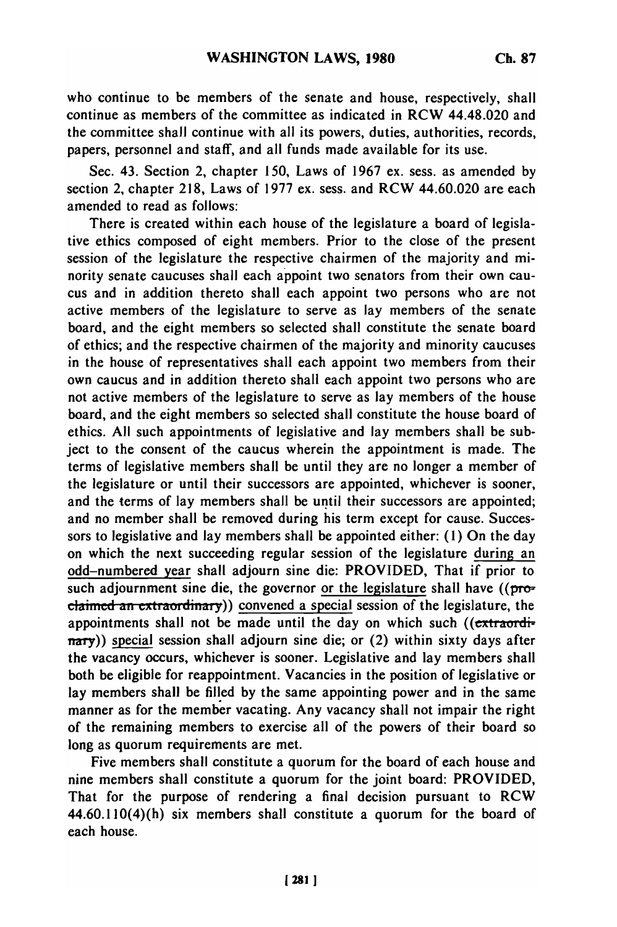who continue to be members of the senate and house, respectively, shall continue as members of the committee as indicated in RCW 44.48.020 and the committee shall continue with all its powers, duties, authorities, records, papers, personnel and staff, and all funds made available for its use.

Sec. 43. Section 2, chapter **150,** Laws of **1967** ex. sess. as amended **by** section 2, chapter **218,** Laws of **1977** ex. sess. and RCW 44.60.020 are each amended to read as follows:

There is created within each house of the legislature a board of legislative ethics composed of eight members. Prior to the close of the present session of the legislature the respective chairmen of the majority and minority senate caucuses shall each appoint two senators from their own caucus and in addition thereto shall each appoint two persons who are not active members of the legislature to serve as lay members of the senate board, and the eight members so selected shall constitute the senate board of ethics; and the respective chairmen of the majority and minority caucuses in the house of representatives shall each appoint two members from their own caucus and in addition thereto shall each appoint two persons who are not active members of the legislature to serve as lay members of the house board, and the eight members so selected shall constitute the house board of ethics. **All** such appointments of legislative and lay members shall be subject to the consent of the caucus wherein the appointment is made. The terms of legislative members shall be until they are no longer a member of the legislature or until their successors are appointed, whichever is sooner, and the terms of lay members shall be until their successors are appointed; and no member shall be removed during his term except for cause. Successors to legislative and lay members shall be appointed either: **(1)** On the day on which the next succeeding regular session of the legislature during an odd-numbered year shall adjourn sine die: PROVIDED, That if prior to such adjournment sine die, the governor or the legislature shall have  $((\text{pro-}$ claimed an extraordinary)) convened a special session of the legislature, the appointments shall not be made until the day on which such ((extraordinary)) special session shall adjourn sine die; or (2) within sixty days after the vacancy occurs, whichever is sooner. Legislative and lay members shall both be eligible for reappointment. Vacancies in the position of legislative or lay members shall be filled **by** the same appointing power and in the same manner as for the member vacating. Any vacancy shall not impair the right of the remaining members to exercise all of the powers of their board so long as quorum requirements are met.

Five members shall constitute a quorum for the board of each house and nine members shall constitute a quorum for the joint board: PROVIDED, That for the purpose of rendering a final decision pursuant to RCW 44.60.110(4)(h) six members shall constitute a quorum for the board of each house.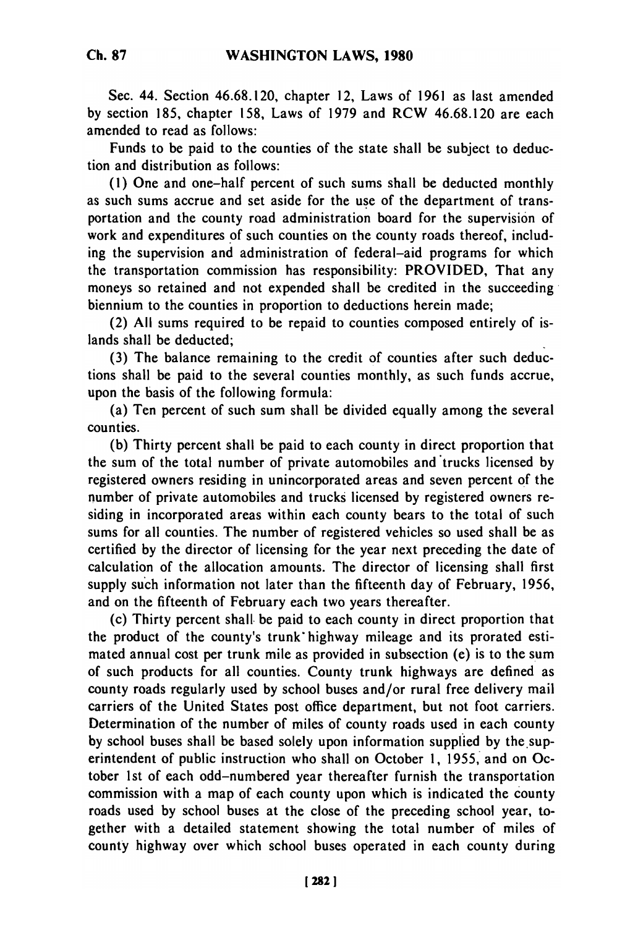Sec. 44. Section 46.68.120, chapter 12, Laws of 1961 as last amended by section 185, chapter 158, Laws of 1979 and RCW 46.68.120 are each amended to read as follows:

Funds to be paid to the counties of the state shall be subject to deduction and distribution as follows:

(1) One and one-half percent of such sums shall be deducted monthly as such sums accrue and set aside for the use of the department of transportation and the county road administration board for the supervision of work and expenditures of such counties on the county roads thereof, including the supervision and administration of federal-aid programs for which the transportation commission has responsibility: PROVIDED, That any moneys so retained and not expended shall be credited in the succeeding biennium to the counties in proportion to deductions herein made;

(2) All sums required to be repaid to counties composed entirely of islands shall be deducted;

(3) The balance remaining to the credit of counties after such deductions shall be paid to the several counties monthly, as such funds accrue, upon the basis of the following formula:

(a) Ten percent of such sum shall be divided equally among the several counties.

(b) Thirty percent shall be paid to each county in direct proportion that the sum of the total number of private automobiles and trucks licensed by registered owners residing in unincorporated areas and seven percent of the number of private automobiles and trucks licensed by registered owners residing in incorporated areas within each county bears to the total of such sums for all counties. The number of registered vehicles so used shall be as certified by the director of licensing for the year next preceding the date of calculation of the allocation amounts. The director of licensing shall first supply such information not later than the fifteenth day of February, 1956, and on the fifteenth of February each two years thereafter.

(c) Thirty percent shall. be paid to each county in direct proportion that the product of the county's trunk" highway mileage and its prorated estimated annual cost per trunk mile as provided in subsection (e) is to the sum of such products for all counties. County trunk highways are defined as county roads regularly used by school buses and/or rural free delivery mail carriers of the United States post office department, but not foot carriers. Determination of the number of miles of county roads used in each county by school buses shall be based solely upon information supplied by the superintendent of public instruction who shall on October 1, 1955, and on October 1st of each odd-numbered year thereafter furnish the transportation commission with a map of each county upon which is indicated the county roads used by school buses at the close of the preceding school year, together with a detailed statement showing the total number of miles of county highway over which school buses operated in each county during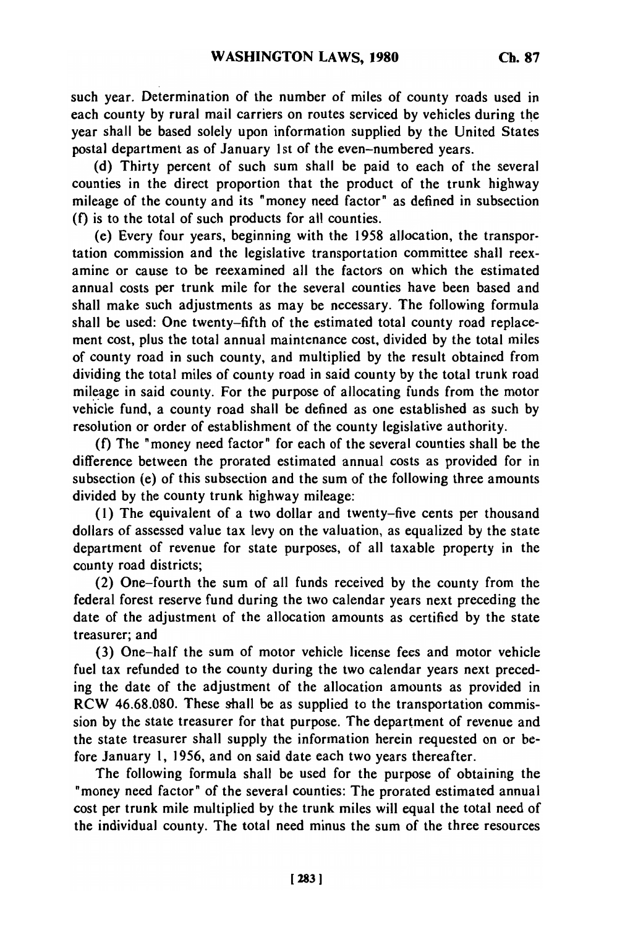such year. Determination of the number of miles of county roads used in each county by rural mail carriers on routes serviced by vehicles during the year shall be based solely upon information supplied by the United States postal department as of January 1st of the even-numbered years.

(d) Thirty percent of such sum shall be paid to each of the several counties in the direct proportion that the product of the trunk highway mileage of the county and its "money need factor" as defined in subsection (f) is to the total of such products for all counties.

(e) Every four years, beginning with the 1958 allocation, the transportation commission and the legislative transportation committee shall reexamine or cause to be reexamined all the factors on which the estimated annual costs per trunk mile for the several counties have been based and shall make such adjustments as may be necessary. The following formula shall be used: One twenty-fifth of the estimated total county road replacement cost, plus the total annual maintenance cost, divided by the total miles of county road in such county, and multiplied by the result obtained from dividing the total miles of county road in said county by the total trunk road mileage in said county. For the purpose of allocating funds from the motor vehicle fund, a county road shall be defined as one established as such by resolution or order of establishment of the county legislative authority.

(f) The "money need factor" for each of the several counties shall be the difference between the prorated estimated annual costs as provided for in subsection (e) of this subsection and the sum of the following three amounts divided by the county trunk highway mileage:

(1) The equivalent of a two dollar and twenty-five cents per thousand dollars of assessed value tax levy on the valuation, as equalized by the state department of revenue for state purposes, of all taxable property in the county road districts;

(2) One-fourth the sum of all funds received by the county from the federal forest reserve fund during the two calendar years next preceding the date of the adjustment of the allocation amounts as certified by the state treasurer; and

(3) One-half the sum of motor vehicle license fees and motor vehicle fuel tax refunded to the county during the two calendar years next preceding the date of the adjustment of the allocation amounts as provided in RCW 46.68.080. These shall be as supplied to the transportation commission by the state treasurer for that purpose. The department of revenue and the state treasurer shall supply the information herein requested on or before January 1, 1956, and on said date each two years thereafter.

The following formula shall be used for the purpose of obtaining the "money need factor" of the several counties: The prorated estimated annual cost per trunk mile multiplied by the trunk miles will equal the total need of the individual county. The total need minus the sum of the three resources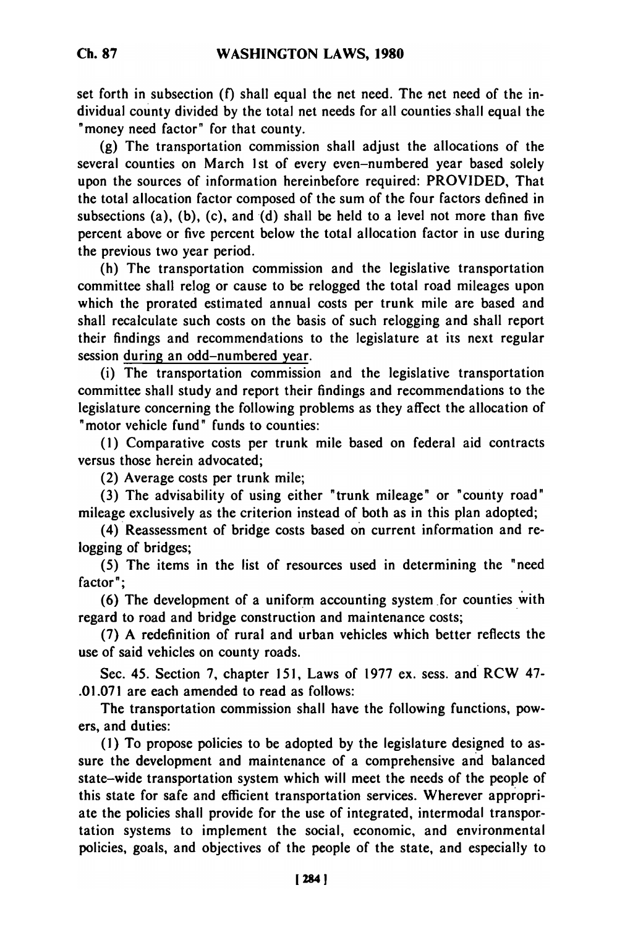set forth in subsection **(f)** shall equal the net need. The net need of the individual county divided by the total net needs for all counties shall equal the "money need factor" for that county.

(g) The transportation commission shall adjust the allocations of the several counties on March 1st of every even-numbered year based solely upon the sources of information hereinbefore required: PROVIDED, That the total allocation factor composed of the sum of the four factors defined in subsections (a), (b), (c), and (d) shall be held to a level not more than five percent above or five percent below the total allocation factor in use during the previous two year period.

(h) The transportation commission and the legislative transportation committee shall relog or cause to be relogged the total road mileages upon which the prorated estimated annual costs per trunk mile are based and shall recalculate such costs on the basis of such relogging and shall report their findings and recommendations to the legislature at its next regular session during an odd-numbered year.

(i) The transportation commission and the legislative transportation committee shall study and report their findings and recommendations to the legislature concerning the following problems as they affect the allocation of "motor vehicle fund" funds to counties:

(1) Comparative costs per trunk mile based on federal aid contracts versus those herein advocated;

(2) Average costs per trunk mile;

(3) The advisability of using either "trunk mileage" or 'county road" mileage exclusively as the criterion instead of both as in this plan adopted;

(4) Reassessment of bridge costs based on current information and relogging of bridges;

(5) The items in the list of resources used in determining the "need factor";

(6) The development of a uniform accounting system for counties with regard to road and bridge construction and maintenance costs;

(7) A redefinition of rural and urban vehicles which better reflects the use of said vehicles on county roads.

Sec. 45. Section 7, chapter 151, Laws of 1977 ex. sess. and RCW 47- .01.071 are each amended to read as follows:

The transportation commission shall have the following functions, powers, and duties:

**(1)** To propose policies to be adopted by the legislature designed to assure the development and maintenance of a comprehensive and balanced state-wide transportation system which will meet the needs of the people of this state for safe and efficient transportation services. Wherever appropriate the policies shall provide for the use of integrated, intermodal transportation systems to implement the social, economic, and environmental policies, goals, and objectives of the people of the state, and especially to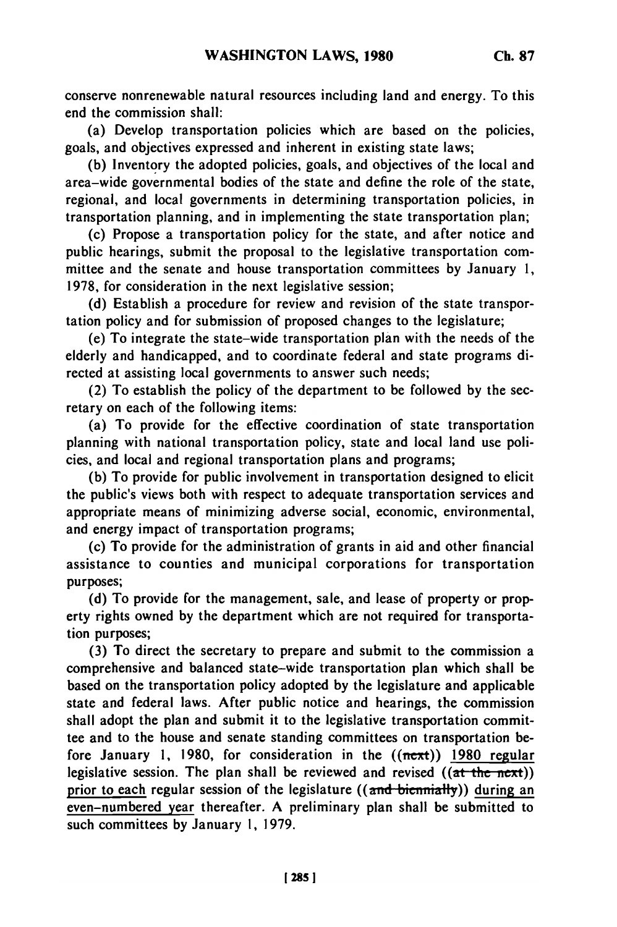conserve nonrenewable natural resources including land and energy. To this end the commission shall:

(a) Develop transportation policies which are based on the policies, goals, and objectives expressed and inherent in existing state laws;

**(b)** Inventory the adopted policies, goals, and objectives of the local and area-wide governmental bodies of the state and define the role of the state, regional, and local governments in determining transportation policies, in transportation planning, and in implementing the state transportation plan;

(c) Propose a transportation policy for the state, and after notice and public hearings, submit the proposal to the legislative transportation committee and the senate and house transportation committees **by** January **1, 1978,** for consideration in the next legislative session;

**(d)** Establish a procedure for review and revision of the state transportation policy and for submission of proposed changes to the legislature;

(e) To integrate the state-wide transportation plan with the needs of the elderly and handicapped, and to coordinate federal and state programs directed at assisting local governments to answer such needs;

(2) To establish the policy of the department to be followed **by** the secretary on each of the following items:

(a) To provide for the effective coordination of state transportation planning with national transportation policy, state and local land use policies, and local and regional transportation plans and programs;

**(b)** To provide for public involvement in transportation designed to elicit the public's views both with respect to adequate transportation services and appropriate means of minimizing adverse social, economic, environmental, and energy impact of transportation programs;

(c) To provide for the administration of grants in aid and other financial assistance to counties and municipal corporations for transportation purposes;

**(d)** To provide for the management, sale, and lease of property or property rights owned **by** the department which are not required for transportation purposes;

**(3)** To direct the secretary to prepare and submit to the commission a comprehensive and balanced state-wide transportation plan which shall be based on the transportation policy adopted **by** the legislature and applicable state and federal laws. After public notice and hearings, the commission shall adopt the plan and submit it to the legislative transportation committee and to the house and senate standing committees on transportation before January **1, 1980,** for consideration in the ((next)) **1980** regular legislative session. The plan shall be reviewed and revised  $((at-the-next))$ prior to each regular session of the legislature  $((\text{and biemially}))$  during an even-numbered year thereafter. **A** preliminary plan shall be submitted to such committees **by** January **1, 1979.**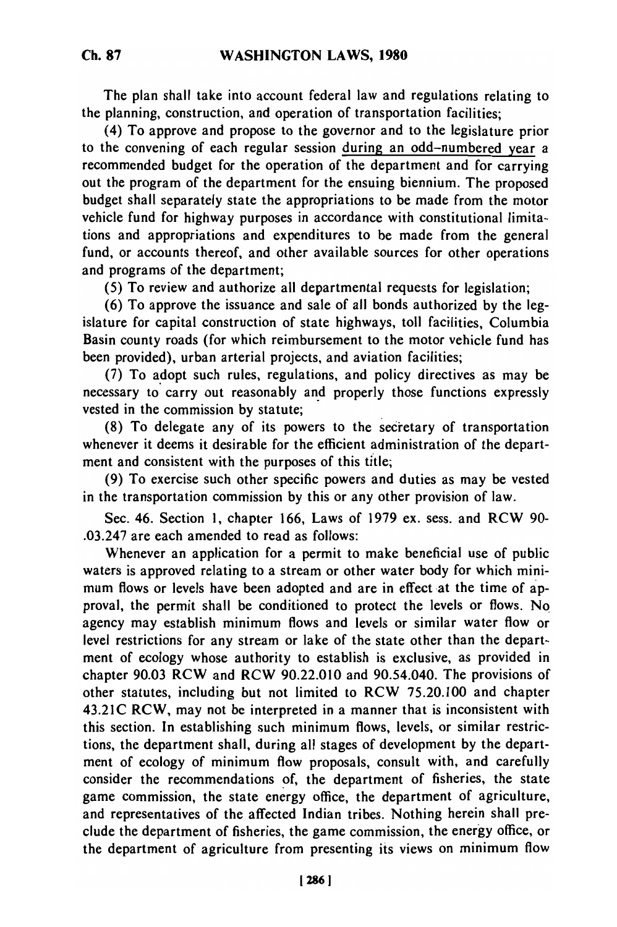The plan shall take into account federal law and regulations relating to the planning, construction, and operation of transportation facilities;

(4) To approve and propose to the governor and to the legislature prior to the convening of each regular session during an odd-numbered year a recommended budget for the operation of the department and for carrying out the program of the department for the ensuing biennium. The proposed budget shall separately state the appropriations to be made from the motor vehicle fund for highway purposes in accordance with constitutional limitations and appropriations and expenditures to be made from the general fund, or accounts thereof, and other available sources for other operations and programs of the department;

(5) To review and authorize all departmental requests for legislation;

(6) To approve the issuance and sale of all bonds authorized by the legislature for capital construction of state highways, toll facilities, Columbia Basin county roads (for which reimbursement to the motor vehicle fund has been provided), urban arterial projects, and aviation facilities;

(7) To adopt such rules, regulations, and policy directives as may be necessary to carry out reasonably and properly those functions expressly vested in the commission by statute;

(8) To delegate any of its powers to the secretary of transportation whenever it deems it desirable for the efficient administration of the department and consistent with the purposes of this title;

(9) To exercise such other specific powers and duties as may be vested in the transportation commission by this or any other provision of law.

Sec. 46. Section 1, chapter 166, Laws of 1979 ex. sess. and RCW 90- .03.247 are each amended to read as follows:

Whenever an application for a permit to make beneficial use of public waters is approved relating to a stream or other water body for which minimum flows or levels have been adopted and are in effect at the time of approval, the permit shall be conditioned to protect the levels or flows. No agency may establish minimum flows and levels or similar water flow or level restrictions for any stream or lake of the state other than the department of ecology whose authority to establish is exclusive, as provided in chapter 90.03 RCW and RCW 90.22.010 and 90.54.040. The provisions of other statutes, including but not limited to RCW 75.20.100 and chapter 43.21C RCW, may not be interpreted in a manner that is inconsistent with this section. In establishing such minimum flows, levels, or similar restrictions, the department shall, during all stages of development by the department of ecology of minimum flow proposals, consult with, and carefully consider the recommendations of, the department of fisheries, the state game commission, the state energy office, the department of agriculture, and representatives of the affected Indian tribes. Nothing herein shall preclude the department of fisheries, the game commission, the energy office, or the department of agriculture from presenting its views on minimum flow